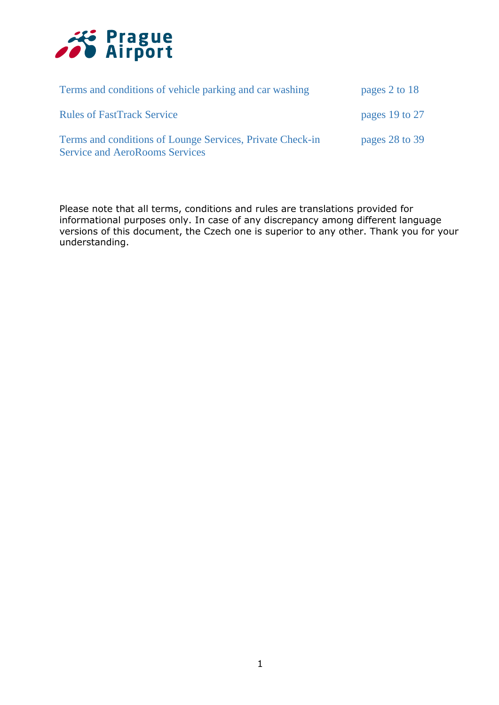

| Terms and conditions of vehicle parking and car washing                                            | pages 2 to 18  |
|----------------------------------------------------------------------------------------------------|----------------|
| <b>Rules of FastTrack Service</b>                                                                  | pages 19 to 27 |
| Terms and conditions of Lounge Services, Private Check-in<br><b>Service and AeroRooms Services</b> | pages 28 to 39 |

Please note that all terms, conditions and rules are translations provided for informational purposes only. In case of any discrepancy among different language versions of this document, the Czech one is superior to any other. Thank you for your understanding.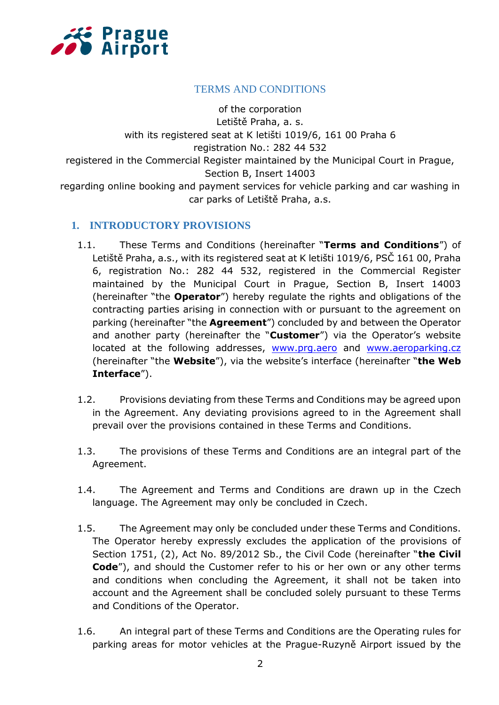

# TERMS AND CONDITIONS

of the corporation Letiště Praha, a. s. with its registered seat at K letišti 1019/6, 161 00 Praha 6 registration No.: 282 44 532 registered in the Commercial Register maintained by the Municipal Court in Prague, Section B, Insert 14003 regarding online booking and payment services for vehicle parking and car washing in car parks of Letiště Praha, a.s.

# **1. INTRODUCTORY PROVISIONS**

- 1.1. These Terms and Conditions (hereinafter "**Terms and Conditions**") of Letiště Praha, a.s., with its registered seat at K letišti 1019/6, PSČ 161 00, Praha 6, registration No.: 282 44 532, registered in the Commercial Register maintained by the Municipal Court in Prague, Section B, Insert 14003 (hereinafter "the **Operator**") hereby regulate the rights and obligations of the contracting parties arising in connection with or pursuant to the agreement on parking (hereinafter "the **Agreement**") concluded by and between the Operator and another party (hereinafter the "**Customer**") via the Operator's website located at the following addresses, [www.prg.aero](file:///C:/Users/konsela/Documents/www.prg.aero) and [www.aeroparking.cz](file:///C:/Users/konsela/Documents/www.aeroparking.cz) (hereinafter "the **Website**"), via the website's interface (hereinafter "**the Web Interface**").
- 1.2. Provisions deviating from these Terms and Conditions may be agreed upon in the Agreement. Any deviating provisions agreed to in the Agreement shall prevail over the provisions contained in these Terms and Conditions.
- 1.3. The provisions of these Terms and Conditions are an integral part of the Agreement.
- 1.4. The Agreement and Terms and Conditions are drawn up in the Czech language. The Agreement may only be concluded in Czech.
- 1.5. The Agreement may only be concluded under these Terms and Conditions. The Operator hereby expressly excludes the application of the provisions of Section 1751, (2), Act No. 89/2012 Sb., the Civil Code (hereinafter "**the Civil Code**"), and should the Customer refer to his or her own or any other terms and conditions when concluding the Agreement, it shall not be taken into account and the Agreement shall be concluded solely pursuant to these Terms and Conditions of the Operator.
- 1.6. An integral part of these Terms and Conditions are the Operating rules for parking areas for motor vehicles at the Prague-Ruzyně Airport issued by the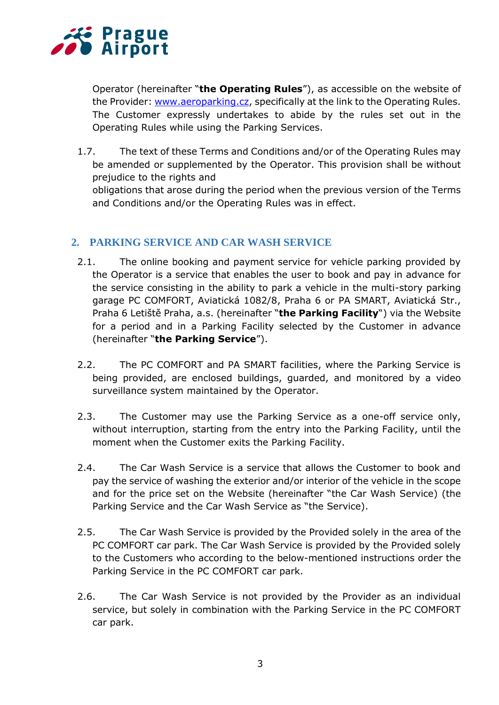

Operator (hereinafter "**the Operating Rules**"), as accessible on the website of the Provider: [www.aeroparking.cz,](http://www.aeroparking.cz/) specifically at the link to the Operating Rules. The Customer expressly undertakes to abide by the rules set out in the Operating Rules while using the Parking Services.

1.7. The text of these Terms and Conditions and/or of the Operating Rules may be amended or supplemented by the Operator. This provision shall be without prejudice to the rights and

obligations that arose during the period when the previous version of the Terms and Conditions and/or the Operating Rules was in effect.

# **2. PARKING SERVICE AND CAR WASH SERVICE**

- 2.1. The online booking and payment service for vehicle parking provided by the Operator is a service that enables the user to book and pay in advance for the service consisting in the ability to park a vehicle in the multi-story parking garage PC COMFORT, Aviatická 1082/8, Praha 6 or PA SMART, Aviatická Str., Praha 6 Letiště Praha, a.s. (hereinafter "**the Parking Facility**") via the Website for a period and in a Parking Facility selected by the Customer in advance (hereinafter "**the Parking Service**").
- 2.2. The PC COMFORT and PA SMART facilities, where the Parking Service is being provided, are enclosed buildings, guarded, and monitored by a video surveillance system maintained by the Operator.
- 2.3. The Customer may use the Parking Service as a one-off service only, without interruption, starting from the entry into the Parking Facility, until the moment when the Customer exits the Parking Facility.
- 2.4. The Car Wash Service is a service that allows the Customer to book and pay the service of washing the exterior and/or interior of the vehicle in the scope and for the price set on the Website (hereinafter "the Car Wash Service) (the Parking Service and the Car Wash Service as "the Service).
- 2.5. The Car Wash Service is provided by the Provided solely in the area of the PC COMFORT car park. The Car Wash Service is provided by the Provided solely to the Customers who according to the below-mentioned instructions order the Parking Service in the PC COMFORT car park.
- 2.6. The Car Wash Service is not provided by the Provider as an individual service, but solely in combination with the Parking Service in the PC COMFORT car park.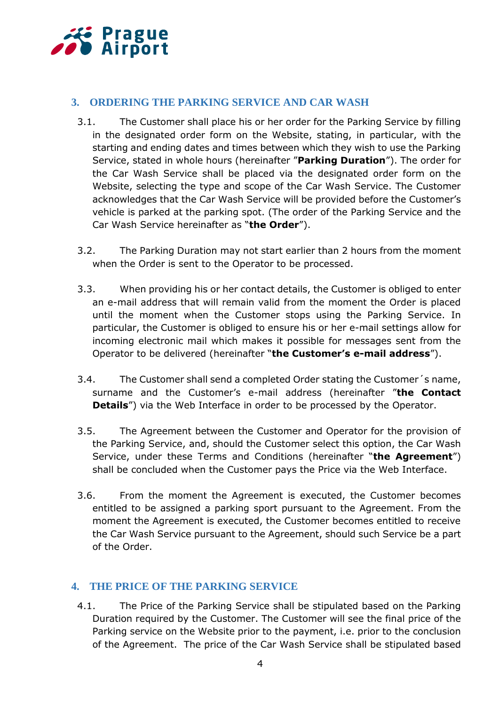

# **3. ORDERING THE PARKING SERVICE AND CAR WASH**

- 3.1. The Customer shall place his or her order for the Parking Service by filling in the designated order form on the Website, stating, in particular, with the starting and ending dates and times between which they wish to use the Parking Service, stated in whole hours (hereinafter "**Parking Duration**"). The order for the Car Wash Service shall be placed via the designated order form on the Website, selecting the type and scope of the Car Wash Service. The Customer acknowledges that the Car Wash Service will be provided before the Customer's vehicle is parked at the parking spot. (The order of the Parking Service and the Car Wash Service hereinafter as "**the Order**").
- 3.2. The Parking Duration may not start earlier than 2 hours from the moment when the Order is sent to the Operator to be processed.
- 3.3. When providing his or her contact details, the Customer is obliged to enter an e-mail address that will remain valid from the moment the Order is placed until the moment when the Customer stops using the Parking Service. In particular, the Customer is obliged to ensure his or her e-mail settings allow for incoming electronic mail which makes it possible for messages sent from the Operator to be delivered (hereinafter "**the Customer's e-mail address**").
- 3.4. The Customer shall send a completed Order stating the Customer´s name, surname and the Customer's e-mail address (hereinafter "**the Contact Details**") via the Web Interface in order to be processed by the Operator.
- 3.5. The Agreement between the Customer and Operator for the provision of the Parking Service, and, should the Customer select this option, the Car Wash Service, under these Terms and Conditions (hereinafter "**the Agreement**") shall be concluded when the Customer pays the Price via the Web Interface.
- 3.6. From the moment the Agreement is executed, the Customer becomes entitled to be assigned a parking sport pursuant to the Agreement. From the moment the Agreement is executed, the Customer becomes entitled to receive the Car Wash Service pursuant to the Agreement, should such Service be a part of the Order.

# **4. THE PRICE OF THE PARKING SERVICE**

4.1. The Price of the Parking Service shall be stipulated based on the Parking Duration required by the Customer. The Customer will see the final price of the Parking service on the Website prior to the payment, i.e. prior to the conclusion of the Agreement. The price of the Car Wash Service shall be stipulated based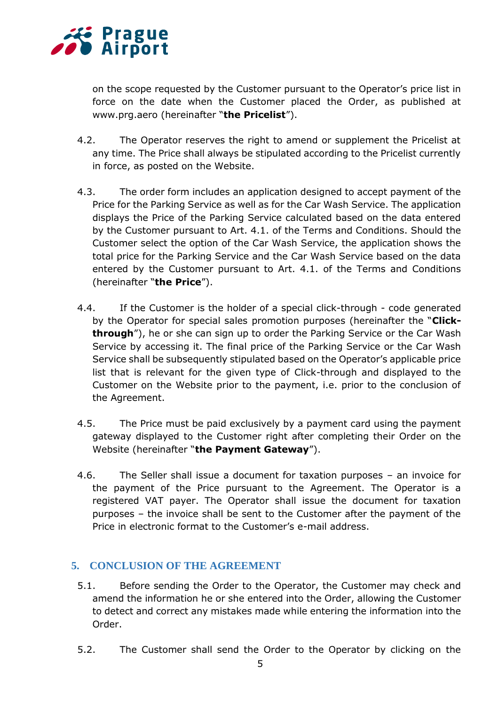

on the scope requested by the Customer pursuant to the Operator's price list in force on the date when the Customer placed the Order, as published at www.prg.aero (hereinafter "**the Pricelist**").

- 4.2. The Operator reserves the right to amend or supplement the Pricelist at any time. The Price shall always be stipulated according to the Pricelist currently in force, as posted on the Website.
- 4.3. The order form includes an application designed to accept payment of the Price for the Parking Service as well as for the Car Wash Service. The application displays the Price of the Parking Service calculated based on the data entered by the Customer pursuant to Art. 4.1. of the Terms and Conditions. Should the Customer select the option of the Car Wash Service, the application shows the total price for the Parking Service and the Car Wash Service based on the data entered by the Customer pursuant to Art. 4.1. of the Terms and Conditions (hereinafter "**the Price**").
- 4.4. If the Customer is the holder of a special click-through code generated by the Operator for special sales promotion purposes (hereinafter the "**Clickthrough**"), he or she can sign up to order the Parking Service or the Car Wash Service by accessing it. The final price of the Parking Service or the Car Wash Service shall be subsequently stipulated based on the Operator's applicable price list that is relevant for the given type of Click-through and displayed to the Customer on the Website prior to the payment, i.e. prior to the conclusion of the Agreement.
- 4.5. The Price must be paid exclusively by a payment card using the payment gateway displayed to the Customer right after completing their Order on the Website (hereinafter "**the Payment Gateway**").
- 4.6. The Seller shall issue a document for taxation purposes an invoice for the payment of the Price pursuant to the Agreement. The Operator is a registered VAT payer. The Operator shall issue the document for taxation purposes – the invoice shall be sent to the Customer after the payment of the Price in electronic format to the Customer's e-mail address.

# **5. CONCLUSION OF THE AGREEMENT**

- 5.1. Before sending the Order to the Operator, the Customer may check and amend the information he or she entered into the Order, allowing the Customer to detect and correct any mistakes made while entering the information into the Order.
- 5.2. The Customer shall send the Order to the Operator by clicking on the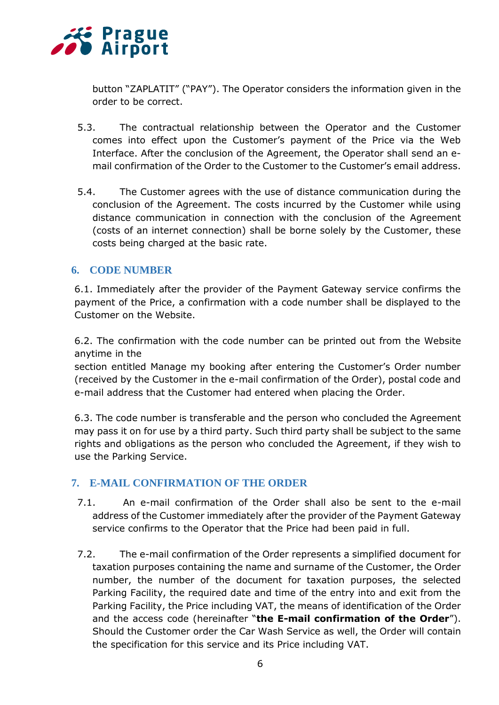

button "ZAPLATIT" ("PAY"). The Operator considers the information given in the order to be correct.

- 5.3. The contractual relationship between the Operator and the Customer comes into effect upon the Customer's payment of the Price via the Web Interface. After the conclusion of the Agreement, the Operator shall send an email confirmation of the Order to the Customer to the Customer's email address.
- 5.4. The Customer agrees with the use of distance communication during the conclusion of the Agreement. The costs incurred by the Customer while using distance communication in connection with the conclusion of the Agreement (costs of an internet connection) shall be borne solely by the Customer, these costs being charged at the basic rate.

# **6. CODE NUMBER**

6.1. Immediately after the provider of the Payment Gateway service confirms the payment of the Price, a confirmation with a code number shall be displayed to the Customer on the Website.

6.2. The confirmation with the code number can be printed out from the Website anytime in the

section entitled Manage my booking after entering the Customer's Order number (received by the Customer in the e-mail confirmation of the Order), postal code and e-mail address that the Customer had entered when placing the Order.

6.3. The code number is transferable and the person who concluded the Agreement may pass it on for use by a third party. Such third party shall be subject to the same rights and obligations as the person who concluded the Agreement, if they wish to use the Parking Service.

# **7. E-MAIL CONFIRMATION OF THE ORDER**

- 7.1. An e-mail confirmation of the Order shall also be sent to the e-mail address of the Customer immediately after the provider of the Payment Gateway service confirms to the Operator that the Price had been paid in full.
- 7.2. The e-mail confirmation of the Order represents a simplified document for taxation purposes containing the name and surname of the Customer, the Order number, the number of the document for taxation purposes, the selected Parking Facility, the required date and time of the entry into and exit from the Parking Facility, the Price including VAT, the means of identification of the Order and the access code (hereinafter "**the E-mail confirmation of the Order**"). Should the Customer order the Car Wash Service as well, the Order will contain the specification for this service and its Price including VAT.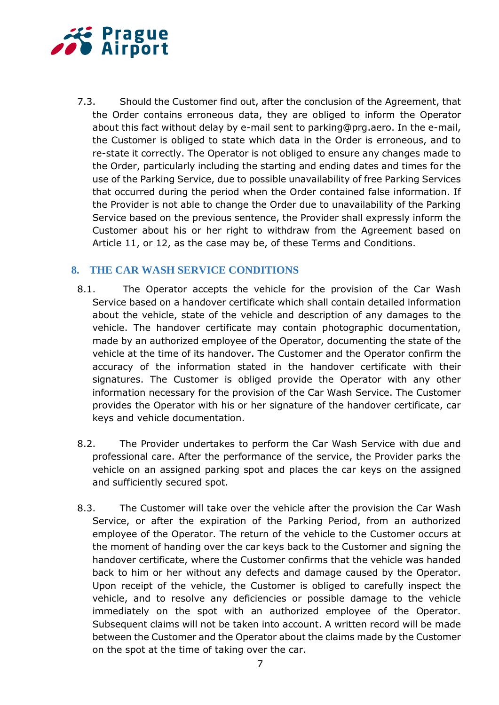

7.3. Should the Customer find out, after the conclusion of the Agreement, that the Order contains erroneous data, they are obliged to inform the Operator about this fact without delay by e-mail sent to parking@prg.aero. In the e-mail, the Customer is obliged to state which data in the Order is erroneous, and to re-state it correctly. The Operator is not obliged to ensure any changes made to the Order, particularly including the starting and ending dates and times for the use of the Parking Service, due to possible unavailability of free Parking Services that occurred during the period when the Order contained false information. If the Provider is not able to change the Order due to unavailability of the Parking Service based on the previous sentence, the Provider shall expressly inform the Customer about his or her right to withdraw from the Agreement based on Article 11, or 12, as the case may be, of these Terms and Conditions.

# **8. THE CAR WASH SERVICE CONDITIONS**

- 8.1. The Operator accepts the vehicle for the provision of the Car Wash Service based on a handover certificate which shall contain detailed information about the vehicle, state of the vehicle and description of any damages to the vehicle. The handover certificate may contain photographic documentation, made by an authorized employee of the Operator, documenting the state of the vehicle at the time of its handover. The Customer and the Operator confirm the accuracy of the information stated in the handover certificate with their signatures. The Customer is obliged provide the Operator with any other information necessary for the provision of the Car Wash Service. The Customer provides the Operator with his or her signature of the handover certificate, car keys and vehicle documentation.
- 8.2. The Provider undertakes to perform the Car Wash Service with due and professional care. After the performance of the service, the Provider parks the vehicle on an assigned parking spot and places the car keys on the assigned and sufficiently secured spot.
- 8.3. The Customer will take over the vehicle after the provision the Car Wash Service, or after the expiration of the Parking Period, from an authorized employee of the Operator. The return of the vehicle to the Customer occurs at the moment of handing over the car keys back to the Customer and signing the handover certificate, where the Customer confirms that the vehicle was handed back to him or her without any defects and damage caused by the Operator. Upon receipt of the vehicle, the Customer is obliged to carefully inspect the vehicle, and to resolve any deficiencies or possible damage to the vehicle immediately on the spot with an authorized employee of the Operator. Subsequent claims will not be taken into account. A written record will be made between the Customer and the Operator about the claims made by the Customer on the spot at the time of taking over the car.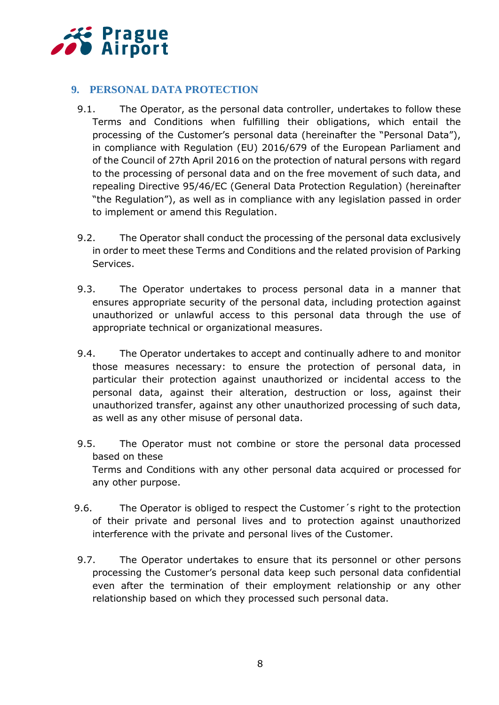

# **9. PERSONAL DATA PROTECTION**

- 9.1. The Operator, as the personal data controller, undertakes to follow these Terms and Conditions when fulfilling their obligations, which entail the processing of the Customer's personal data (hereinafter the "Personal Data"), in compliance with Regulation (EU) 2016/679 of the European Parliament and of the Council of 27th April 2016 on the protection of natural persons with regard to the processing of personal data and on the free movement of such data, and repealing Directive 95/46/EC (General Data Protection Regulation) (hereinafter "the Regulation"), as well as in compliance with any legislation passed in order to implement or amend this Regulation.
- 9.2. The Operator shall conduct the processing of the personal data exclusively in order to meet these Terms and Conditions and the related provision of Parking Services.
- 9.3. The Operator undertakes to process personal data in a manner that ensures appropriate security of the personal data, including protection against unauthorized or unlawful access to this personal data through the use of appropriate technical or organizational measures.
- 9.4. The Operator undertakes to accept and continually adhere to and monitor those measures necessary: to ensure the protection of personal data, in particular their protection against unauthorized or incidental access to the personal data, against their alteration, destruction or loss, against their unauthorized transfer, against any other unauthorized processing of such data, as well as any other misuse of personal data.
- 9.5. The Operator must not combine or store the personal data processed based on these Terms and Conditions with any other personal data acquired or processed for any other purpose.
- 9.6. The Operator is obliged to respect the Customer´s right to the protection of their private and personal lives and to protection against unauthorized interference with the private and personal lives of the Customer.
- 9.7. The Operator undertakes to ensure that its personnel or other persons processing the Customer's personal data keep such personal data confidential even after the termination of their employment relationship or any other relationship based on which they processed such personal data.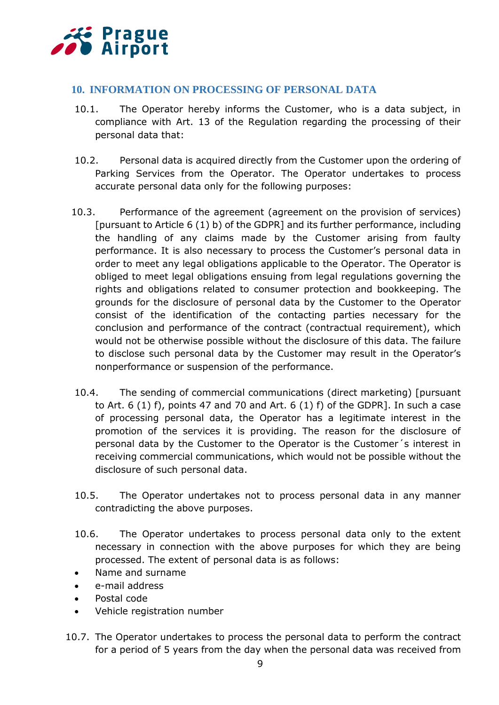

# **10. INFORMATION ON PROCESSING OF PERSONAL DATA**

- 10.1. The Operator hereby informs the Customer, who is a data subject, in compliance with Art. 13 of the Regulation regarding the processing of their personal data that:
- 10.2. Personal data is acquired directly from the Customer upon the ordering of Parking Services from the Operator. The Operator undertakes to process accurate personal data only for the following purposes:
- 10.3. Performance of the agreement (agreement on the provision of services) [pursuant to Article 6 (1) b) of the GDPR] and its further performance, including the handling of any claims made by the Customer arising from faulty performance. It is also necessary to process the Customer's personal data in order to meet any legal obligations applicable to the Operator. The Operator is obliged to meet legal obligations ensuing from legal regulations governing the rights and obligations related to consumer protection and bookkeeping. The grounds for the disclosure of personal data by the Customer to the Operator consist of the identification of the contacting parties necessary for the conclusion and performance of the contract (contractual requirement), which would not be otherwise possible without the disclosure of this data. The failure to disclose such personal data by the Customer may result in the Operator's nonperformance or suspension of the performance.
- 10.4. The sending of commercial communications (direct marketing) [pursuant to Art. 6 (1) f), points 47 and 70 and Art. 6 (1) f) of the GDPR]. In such a case of processing personal data, the Operator has a legitimate interest in the promotion of the services it is providing. The reason for the disclosure of personal data by the Customer to the Operator is the Customer´s interest in receiving commercial communications, which would not be possible without the disclosure of such personal data.
- 10.5. The Operator undertakes not to process personal data in any manner contradicting the above purposes.
- 10.6. The Operator undertakes to process personal data only to the extent necessary in connection with the above purposes for which they are being processed. The extent of personal data is as follows:
- Name and surname
- e-mail address
- Postal code
- Vehicle registration number
- 10.7. The Operator undertakes to process the personal data to perform the contract for a period of 5 years from the day when the personal data was received from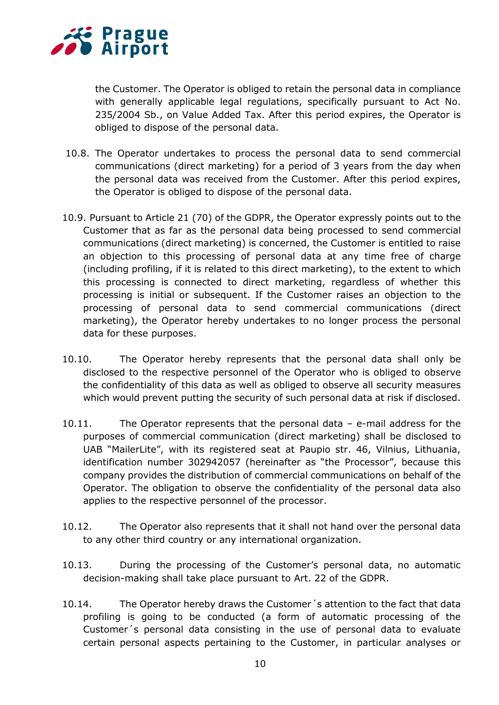

the Customer. The Operator is obliged to retain the personal data in compliance with generally applicable legal regulations, specifically pursuant to Act No. 235/2004 Sb., on Value Added Tax. After this period expires, the Operator is obliged to dispose of the personal data.

- 10.8. The Operator undertakes to process the personal data to send commercial communications (direct marketing) for a period of 3 years from the day when the personal data was received from the Customer. After this period expires, the Operator is obliged to dispose of the personal data.
- 10.9. Pursuant to Article 21 (70) of the GDPR, the Operator expressly points out to the Customer that as far as the personal data being processed to send commercial communications (direct marketing) is concerned, the Customer is entitled to raise an objection to this processing of personal data at any time free of charge (including profiling, if it is related to this direct marketing), to the extent to which this processing is connected to direct marketing, regardless of whether this processing is initial or subsequent. If the Customer raises an objection to the processing of personal data to send commercial communications (direct marketing), the Operator hereby undertakes to no longer process the personal data for these purposes.
- 10.10. The Operator hereby represents that the personal data shall only be disclosed to the respective personnel of the Operator who is obliged to observe the confidentiality of this data as well as obliged to observe all security measures which would prevent putting the security of such personal data at risk if disclosed.
- 10.11. The Operator represents that the personal data e-mail address for the purposes of commercial communication (direct marketing) shall be disclosed to UAB "MailerLite", with its registered seat at Paupio str. 46, Vilnius, Lithuania, identification number 302942057 (hereinafter as "the Processor", because this company provides the distribution of commercial communications on behalf of the Operator. The obligation to observe the confidentiality of the personal data also applies to the respective personnel of the processor.
- 10.12. The Operator also represents that it shall not hand over the personal data to any other third country or any international organization.
- 10.13. During the processing of the Customer's personal data, no automatic decision-making shall take place pursuant to Art. 22 of the GDPR.
- 10.14. The Operator hereby draws the Customer´s attention to the fact that data profiling is going to be conducted (a form of automatic processing of the Customer´s personal data consisting in the use of personal data to evaluate certain personal aspects pertaining to the Customer, in particular analyses or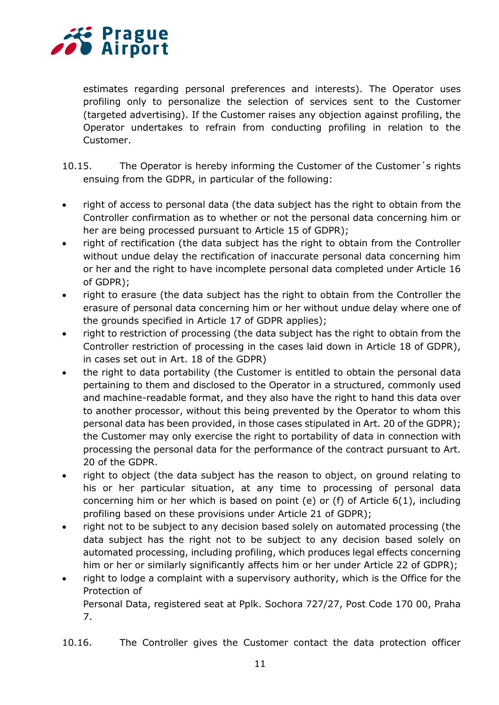

7.

estimates regarding personal preferences and interests). The Operator uses profiling only to personalize the selection of services sent to the Customer (targeted advertising). If the Customer raises any objection against profiling, the Operator undertakes to refrain from conducting profiling in relation to the Customer.

- 10.15. The Operator is hereby informing the Customer of the Customer's rights ensuing from the GDPR, in particular of the following:
- right of access to personal data (the data subject has the right to obtain from the Controller confirmation as to whether or not the personal data concerning him or her are being processed pursuant to Article 15 of GDPR);
- right of rectification (the data subject has the right to obtain from the Controller without undue delay the rectification of inaccurate personal data concerning him or her and the right to have incomplete personal data completed under Article 16 of GDPR);
- right to erasure (the data subject has the right to obtain from the Controller the erasure of personal data concerning him or her without undue delay where one of the grounds specified in Article 17 of GDPR applies);
- right to restriction of processing (the data subject has the right to obtain from the Controller restriction of processing in the cases laid down in Article 18 of GDPR), in cases set out in Art. 18 of the GDPR)
- the right to data portability (the Customer is entitled to obtain the personal data pertaining to them and disclosed to the Operator in a structured, commonly used and machine-readable format, and they also have the right to hand this data over to another processor, without this being prevented by the Operator to whom this personal data has been provided, in those cases stipulated in Art. 20 of the GDPR); the Customer may only exercise the right to portability of data in connection with processing the personal data for the performance of the contract pursuant to Art. 20 of the GDPR.
- right to object (the data subject has the reason to object, on ground relating to his or her particular situation, at any time to processing of personal data concerning him or her which is based on point (e) or (f) of Article 6(1), including profiling based on these provisions under Article 21 of GDPR);
- right not to be subject to any decision based solely on automated processing (the data subject has the right not to be subject to any decision based solely on automated processing, including profiling, which produces legal effects concerning him or her or similarly significantly affects him or her under Article 22 of GDPR);
- right to lodge a complaint with a supervisory authority, which is the Office for the Protection of Personal Data, registered seat at Pplk. Sochora 727/27, Post Code 170 00, Praha
- 10.16. The Controller gives the Customer contact the data protection officer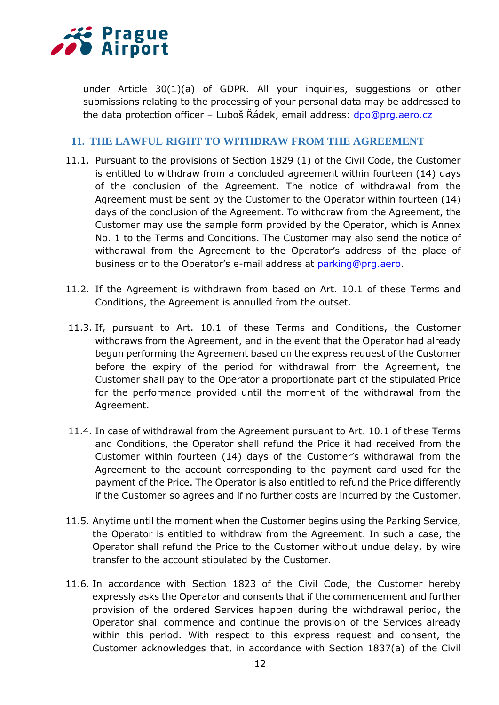

under Article 30(1)(a) of GDPR. All your inquiries, suggestions or other submissions relating to the processing of your personal data may be addressed to the data protection officer – Luboš Řádek, email address: [dpo@prg.aero.cz](file:///C:/Users/konsela/Documents/dpo@prg.aero.cz)

## **11. THE LAWFUL RIGHT TO WITHDRAW FROM THE AGREEMENT**

- 11.1. Pursuant to the provisions of Section 1829 (1) of the Civil Code, the Customer is entitled to withdraw from a concluded agreement within fourteen (14) days of the conclusion of the Agreement. The notice of withdrawal from the Agreement must be sent by the Customer to the Operator within fourteen (14) days of the conclusion of the Agreement. To withdraw from the Agreement, the Customer may use the sample form provided by the Operator, which is Annex No. 1 to the Terms and Conditions. The Customer may also send the notice of withdrawal from the Agreement to the Operator's address of the place of business or to the Operator's e-mail address at [parking@prg.aero.](mailto:parking@prg.aero)
- 11.2. If the Agreement is withdrawn from based on Art. 10.1 of these Terms and Conditions, the Agreement is annulled from the outset.
- 11.3. If, pursuant to Art. 10.1 of these Terms and Conditions, the Customer withdraws from the Agreement, and in the event that the Operator had already begun performing the Agreement based on the express request of the Customer before the expiry of the period for withdrawal from the Agreement, the Customer shall pay to the Operator a proportionate part of the stipulated Price for the performance provided until the moment of the withdrawal from the Agreement.
- 11.4. In case of withdrawal from the Agreement pursuant to Art. 10.1 of these Terms and Conditions, the Operator shall refund the Price it had received from the Customer within fourteen (14) days of the Customer's withdrawal from the Agreement to the account corresponding to the payment card used for the payment of the Price. The Operator is also entitled to refund the Price differently if the Customer so agrees and if no further costs are incurred by the Customer.
- 11.5. Anytime until the moment when the Customer begins using the Parking Service, the Operator is entitled to withdraw from the Agreement. In such a case, the Operator shall refund the Price to the Customer without undue delay, by wire transfer to the account stipulated by the Customer.
- 11.6. In accordance with Section 1823 of the Civil Code, the Customer hereby expressly asks the Operator and consents that if the commencement and further provision of the ordered Services happen during the withdrawal period, the Operator shall commence and continue the provision of the Services already within this period. With respect to this express request and consent, the Customer acknowledges that, in accordance with Section 1837(a) of the Civil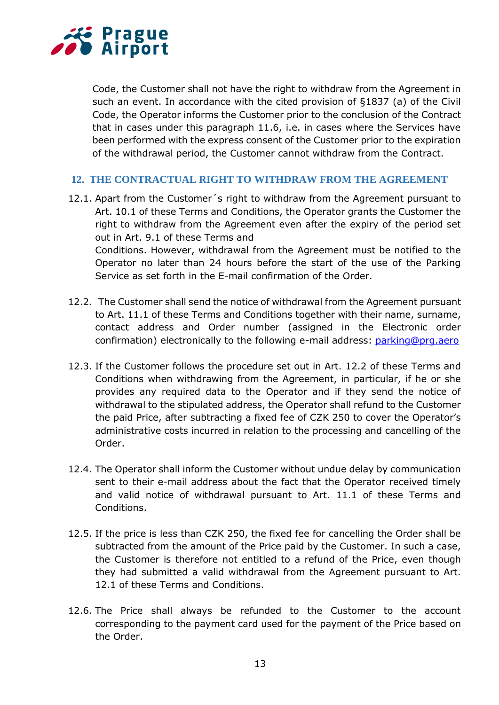

Code, the Customer shall not have the right to withdraw from the Agreement in such an event. In accordance with the cited provision of §1837 (a) of the Civil Code, the Operator informs the Customer prior to the conclusion of the Contract that in cases under this paragraph 11.6, i.e. in cases where the Services have been performed with the express consent of the Customer prior to the expiration of the withdrawal period, the Customer cannot withdraw from the Contract.

## **12. THE CONTRACTUAL RIGHT TO WITHDRAW FROM THE AGREEMENT**

- 12.1. Apart from the Customer´s right to withdraw from the Agreement pursuant to Art. 10.1 of these Terms and Conditions, the Operator grants the Customer the right to withdraw from the Agreement even after the expiry of the period set out in Art. 9.1 of these Terms and Conditions. However, withdrawal from the Agreement must be notified to the Operator no later than 24 hours before the start of the use of the Parking Service as set forth in the E-mail confirmation of the Order.
- 12.2. The Customer shall send the notice of withdrawal from the Agreement pursuant to Art. 11.1 of these Terms and Conditions together with their name, surname, contact address and Order number (assigned in the Electronic order confirmation) electronically to the following e-mail address: [parking@prg.aero](file:///C:/Users/konsela/Documents/parking@prg.aero)
- 12.3. If the Customer follows the procedure set out in Art. 12.2 of these Terms and Conditions when withdrawing from the Agreement, in particular, if he or she provides any required data to the Operator and if they send the notice of withdrawal to the stipulated address, the Operator shall refund to the Customer the paid Price, after subtracting a fixed fee of CZK 250 to cover the Operator's administrative costs incurred in relation to the processing and cancelling of the Order.
- 12.4. The Operator shall inform the Customer without undue delay by communication sent to their e-mail address about the fact that the Operator received timely and valid notice of withdrawal pursuant to Art. 11.1 of these Terms and Conditions.
- 12.5. If the price is less than CZK 250, the fixed fee for cancelling the Order shall be subtracted from the amount of the Price paid by the Customer. In such a case, the Customer is therefore not entitled to a refund of the Price, even though they had submitted a valid withdrawal from the Agreement pursuant to Art. 12.1 of these Terms and Conditions.
- 12.6. The Price shall always be refunded to the Customer to the account corresponding to the payment card used for the payment of the Price based on the Order.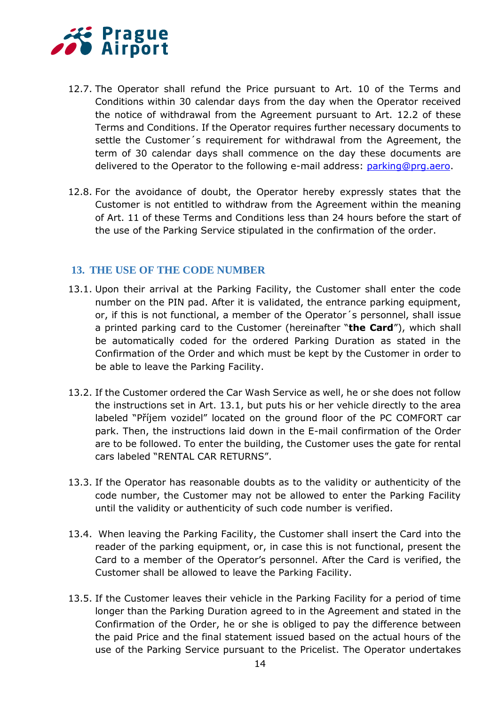

- 12.7. The Operator shall refund the Price pursuant to Art. 10 of the Terms and Conditions within 30 calendar days from the day when the Operator received the notice of withdrawal from the Agreement pursuant to Art. 12.2 of these Terms and Conditions. If the Operator requires further necessary documents to settle the Customer´s requirement for withdrawal from the Agreement, the term of 30 calendar days shall commence on the day these documents are delivered to the Operator to the following e-mail address: [parking@prg.aero.](file:///C:/Users/konsela/Documents/parking@prg.aero)
- 12.8. For the avoidance of doubt, the Operator hereby expressly states that the Customer is not entitled to withdraw from the Agreement within the meaning of Art. 11 of these Terms and Conditions less than 24 hours before the start of the use of the Parking Service stipulated in the confirmation of the order.

# **13. THE USE OF THE CODE NUMBER**

- 13.1. Upon their arrival at the Parking Facility, the Customer shall enter the code number on the PIN pad. After it is validated, the entrance parking equipment, or, if this is not functional, a member of the Operator´s personnel, shall issue a printed parking card to the Customer (hereinafter "**the Card**"), which shall be automatically coded for the ordered Parking Duration as stated in the Confirmation of the Order and which must be kept by the Customer in order to be able to leave the Parking Facility.
- 13.2. If the Customer ordered the Car Wash Service as well, he or she does not follow the instructions set in Art. 13.1, but puts his or her vehicle directly to the area labeled "Příjem vozidel" located on the ground floor of the PC COMFORT car park. Then, the instructions laid down in the E-mail confirmation of the Order are to be followed. To enter the building, the Customer uses the gate for rental cars labeled "RENTAL CAR RETURNS".
- 13.3. If the Operator has reasonable doubts as to the validity or authenticity of the code number, the Customer may not be allowed to enter the Parking Facility until the validity or authenticity of such code number is verified.
- 13.4. When leaving the Parking Facility, the Customer shall insert the Card into the reader of the parking equipment, or, in case this is not functional, present the Card to a member of the Operator's personnel. After the Card is verified, the Customer shall be allowed to leave the Parking Facility.
- 13.5. If the Customer leaves their vehicle in the Parking Facility for a period of time longer than the Parking Duration agreed to in the Agreement and stated in the Confirmation of the Order, he or she is obliged to pay the difference between the paid Price and the final statement issued based on the actual hours of the use of the Parking Service pursuant to the Pricelist. The Operator undertakes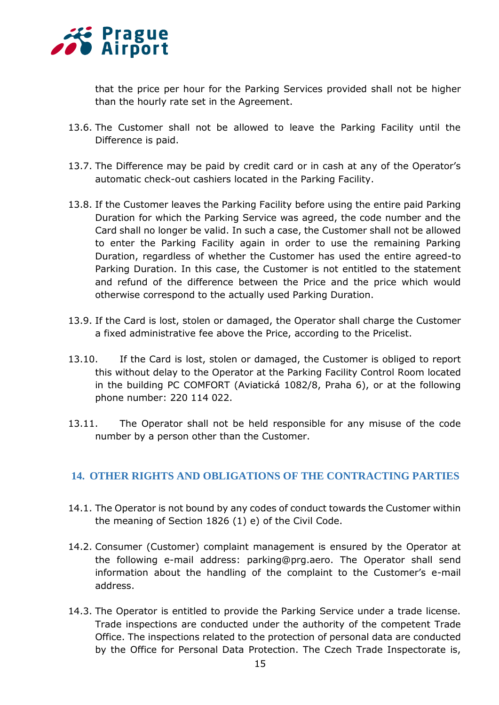

that the price per hour for the Parking Services provided shall not be higher than the hourly rate set in the Agreement.

- 13.6. The Customer shall not be allowed to leave the Parking Facility until the Difference is paid.
- 13.7. The Difference may be paid by credit card or in cash at any of the Operator's automatic check-out cashiers located in the Parking Facility.
- 13.8. If the Customer leaves the Parking Facility before using the entire paid Parking Duration for which the Parking Service was agreed, the code number and the Card shall no longer be valid. In such a case, the Customer shall not be allowed to enter the Parking Facility again in order to use the remaining Parking Duration, regardless of whether the Customer has used the entire agreed-to Parking Duration. In this case, the Customer is not entitled to the statement and refund of the difference between the Price and the price which would otherwise correspond to the actually used Parking Duration.
- 13.9. If the Card is lost, stolen or damaged, the Operator shall charge the Customer a fixed administrative fee above the Price, according to the Pricelist.
- 13.10. If the Card is lost, stolen or damaged, the Customer is obliged to report this without delay to the Operator at the Parking Facility Control Room located in the building PC COMFORT (Aviatická 1082/8, Praha 6), or at the following phone number: 220 114 022.
- 13.11. The Operator shall not be held responsible for any misuse of the code number by a person other than the Customer.

# **14. OTHER RIGHTS AND OBLIGATIONS OF THE CONTRACTING PARTIES**

- 14.1. The Operator is not bound by any codes of conduct towards the Customer within the meaning of Section 1826 (1) e) of the Civil Code.
- 14.2. Consumer (Customer) complaint management is ensured by the Operator at the following e-mail address: parking@prg.aero. The Operator shall send information about the handling of the complaint to the Customer's e-mail address.
- 14.3. The Operator is entitled to provide the Parking Service under a trade license. Trade inspections are conducted under the authority of the competent Trade Office. The inspections related to the protection of personal data are conducted by the Office for Personal Data Protection. The Czech Trade Inspectorate is,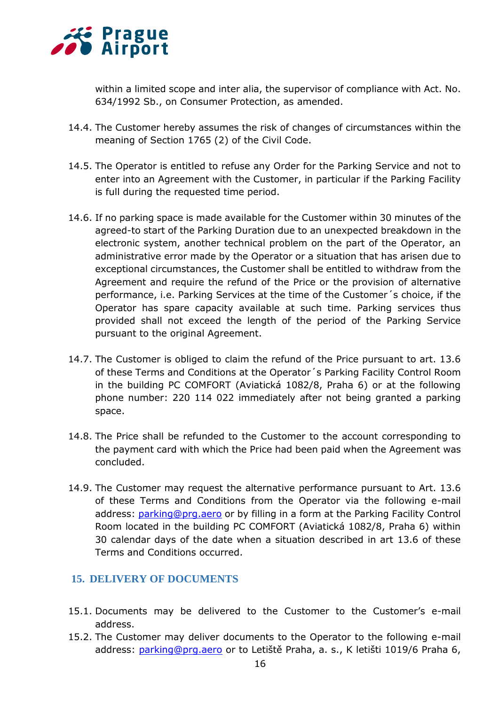

within a limited scope and inter alia, the supervisor of compliance with Act. No. 634/1992 Sb., on Consumer Protection, as amended.

- 14.4. The Customer hereby assumes the risk of changes of circumstances within the meaning of Section 1765 (2) of the Civil Code.
- 14.5. The Operator is entitled to refuse any Order for the Parking Service and not to enter into an Agreement with the Customer, in particular if the Parking Facility is full during the requested time period.
- 14.6. If no parking space is made available for the Customer within 30 minutes of the agreed-to start of the Parking Duration due to an unexpected breakdown in the electronic system, another technical problem on the part of the Operator, an administrative error made by the Operator or a situation that has arisen due to exceptional circumstances, the Customer shall be entitled to withdraw from the Agreement and require the refund of the Price or the provision of alternative performance, i.e. Parking Services at the time of the Customer´s choice, if the Operator has spare capacity available at such time. Parking services thus provided shall not exceed the length of the period of the Parking Service pursuant to the original Agreement.
- 14.7. The Customer is obliged to claim the refund of the Price pursuant to art. 13.6 of these Terms and Conditions at the Operator´s Parking Facility Control Room in the building PC COMFORT (Aviatická 1082/8, Praha 6) or at the following phone number: 220 114 022 immediately after not being granted a parking space.
- 14.8. The Price shall be refunded to the Customer to the account corresponding to the payment card with which the Price had been paid when the Agreement was concluded.
- 14.9. The Customer may request the alternative performance pursuant to Art. 13.6 of these Terms and Conditions from the Operator via the following e-mail address: [parking@prg.aero](file:///C:/Users/konsela/Documents/parking@prg.aero) or by filling in a form at the Parking Facility Control Room located in the building PC COMFORT (Aviatická 1082/8, Praha 6) within 30 calendar days of the date when a situation described in art 13.6 of these Terms and Conditions occurred.

# **15. DELIVERY OF DOCUMENTS**

- 15.1. Documents may be delivered to the Customer to the Customer's e-mail address.
- 15.2. The Customer may deliver documents to the Operator to the following e-mail address: [parking@prg.aero](file:///C:/Users/konsela/Documents/parking@prg.aero) or to Letiště Praha, a. s., K letišti 1019/6 Praha 6,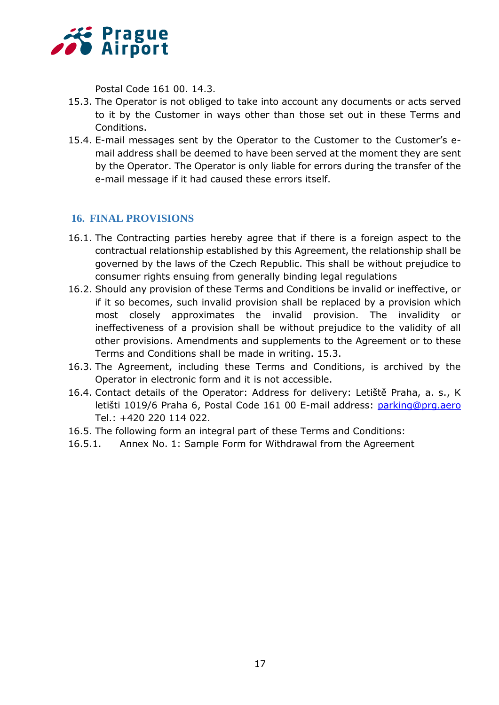

Postal Code 161 00. 14.3.

- 15.3. The Operator is not obliged to take into account any documents or acts served to it by the Customer in ways other than those set out in these Terms and Conditions.
- 15.4. E-mail messages sent by the Operator to the Customer to the Customer's email address shall be deemed to have been served at the moment they are sent by the Operator. The Operator is only liable for errors during the transfer of the e-mail message if it had caused these errors itself.

# **16. FINAL PROVISIONS**

- 16.1. The Contracting parties hereby agree that if there is a foreign aspect to the contractual relationship established by this Agreement, the relationship shall be governed by the laws of the Czech Republic. This shall be without prejudice to consumer rights ensuing from generally binding legal regulations
- 16.2. Should any provision of these Terms and Conditions be invalid or ineffective, or if it so becomes, such invalid provision shall be replaced by a provision which most closely approximates the invalid provision. The invalidity or ineffectiveness of a provision shall be without prejudice to the validity of all other provisions. Amendments and supplements to the Agreement or to these Terms and Conditions shall be made in writing. 15.3.
- 16.3. The Agreement, including these Terms and Conditions, is archived by the Operator in electronic form and it is not accessible.
- 16.4. Contact details of the Operator: Address for delivery: Letiště Praha, a. s., K letišti 1019/6 Praha 6, Postal Code 161 00 E-mail address: [parking@prg.aero](file:///C:/Users/konsela/Documents/parking@prg.aero) Tel.: +420 220 114 022.
- 16.5. The following form an integral part of these Terms and Conditions:
- 16.5.1. Annex No. 1: Sample Form for Withdrawal from the Agreement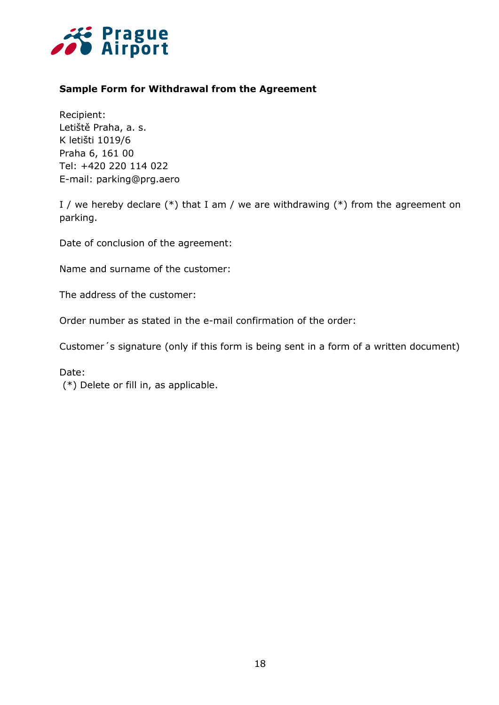

# **Sample Form for Withdrawal from the Agreement**

Recipient: Letiště Praha, a. s. K letišti 1019/6 Praha 6, 161 00 Tel: +420 220 114 022 E-mail: parking@prg.aero

I / we hereby declare  $(*)$  that I am / we are withdrawing  $(*)$  from the agreement on parking.

Date of conclusion of the agreement:

Name and surname of the customer:

The address of the customer:

Order number as stated in the e-mail confirmation of the order:

Customer´s signature (only if this form is being sent in a form of a written document)

Date:

(\*) Delete or fill in, as applicable.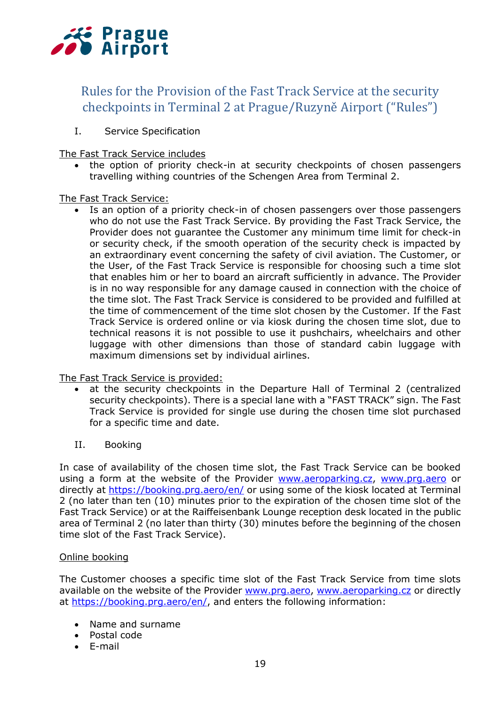

# Rules for the Provision of the Fast Track Service at the security checkpoints in Terminal 2 at Prague/Ruzyně Airport ("Rules")

I. Service Specification

The Fast Track Service includes

• the option of priority check-in at security checkpoints of chosen passengers travelling withing countries of the Schengen Area from Terminal 2.

## The Fast Track Service:

• Is an option of a priority check-in of chosen passengers over those passengers who do not use the Fast Track Service. By providing the Fast Track Service, the Provider does not guarantee the Customer any minimum time limit for check-in or security check, if the smooth operation of the security check is impacted by an extraordinary event concerning the safety of civil aviation. The Customer, or the User, of the Fast Track Service is responsible for choosing such a time slot that enables him or her to board an aircraft sufficiently in advance. The Provider is in no way responsible for any damage caused in connection with the choice of the time slot. The Fast Track Service is considered to be provided and fulfilled at the time of commencement of the time slot chosen by the Customer. If the Fast Track Service is ordered online or via kiosk during the chosen time slot, due to technical reasons it is not possible to use it pushchairs, wheelchairs and other luggage with other dimensions than those of standard cabin luggage with maximum dimensions set by individual airlines.

The Fast Track Service is provided:

- at the security checkpoints in the Departure Hall of Terminal 2 (centralized security checkpoints). There is a special lane with a "FAST TRACK" sign. The Fast Track Service is provided for single use during the chosen time slot purchased for a specific time and date.
- II. Booking

In case of availability of the chosen time slot, the Fast Track Service can be booked using a form at the website of the Provider [www.aeroparking.cz,](http://www.aeroparking.cz/) [www.prg.aero](http://www.prg.aero/) or directly at<https://booking.prg.aero/en/> or using some of the kiosk located at Terminal 2 (no later than ten (10) minutes prior to the expiration of the chosen time slot of the Fast Track Service) or at the Raiffeisenbank Lounge reception desk located in the public area of Terminal 2 (no later than thirty (30) minutes before the beginning of the chosen time slot of the Fast Track Service).

## Online booking

The Customer chooses a specific time slot of the Fast Track Service from time slots available on the website of the Provider [www.prg.aero,](http://www.prg.aero/) [www.aeroparking.cz](http://www.aeroparking.cz/) or directly at [https://booking.prg.aero/en/,](https://booking.prg.aero/en/) and enters the following information:

- Name and surname
- Postal code
- E-mail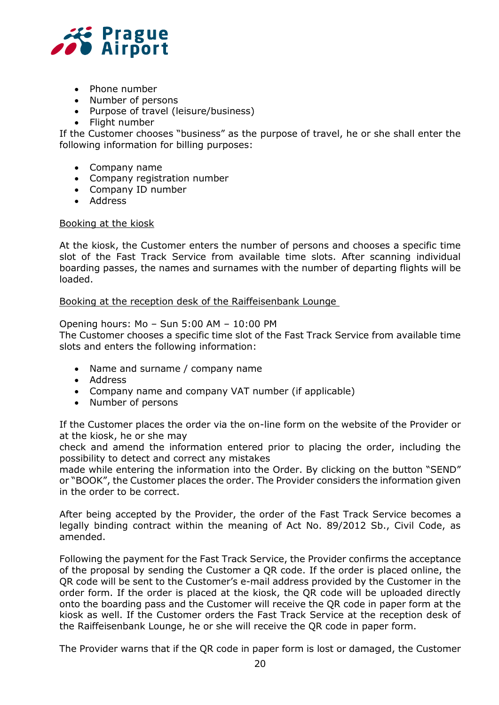

- Phone number
- Number of persons
- Purpose of travel (leisure/business)
- Flight number

If the Customer chooses "business" as the purpose of travel, he or she shall enter the following information for billing purposes:

- Company name
- Company registration number
- Company ID number
- Address

## Booking at the kiosk

At the kiosk, the Customer enters the number of persons and chooses a specific time slot of the Fast Track Service from available time slots. After scanning individual boarding passes, the names and surnames with the number of departing flights will be loaded.

Booking at the reception desk of the Raiffeisenbank Lounge

#### Opening hours: Mo – Sun 5:00 AM – 10:00 PM

The Customer chooses a specific time slot of the Fast Track Service from available time slots and enters the following information:

- Name and surname / company name
- Address
- Company name and company VAT number (if applicable)
- Number of persons

If the Customer places the order via the on-line form on the website of the Provider or at the kiosk, he or she may

check and amend the information entered prior to placing the order, including the possibility to detect and correct any mistakes

made while entering the information into the Order. By clicking on the button "SEND" or "BOOK", the Customer places the order. The Provider considers the information given in the order to be correct.

After being accepted by the Provider, the order of the Fast Track Service becomes a legally binding contract within the meaning of Act No. 89/2012 Sb., Civil Code, as amended.

Following the payment for the Fast Track Service, the Provider confirms the acceptance of the proposal by sending the Customer a QR code. If the order is placed online, the QR code will be sent to the Customer's e-mail address provided by the Customer in the order form. If the order is placed at the kiosk, the QR code will be uploaded directly onto the boarding pass and the Customer will receive the QR code in paper form at the kiosk as well. If the Customer orders the Fast Track Service at the reception desk of the Raiffeisenbank Lounge, he or she will receive the QR code in paper form.

The Provider warns that if the QR code in paper form is lost or damaged, the Customer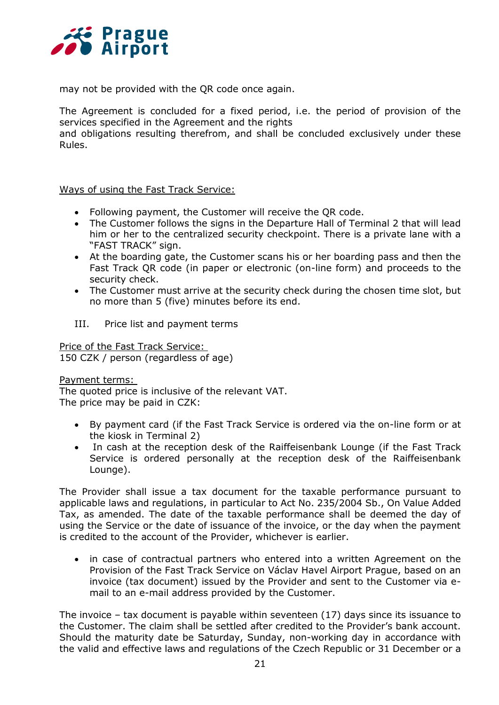

may not be provided with the QR code once again.

The Agreement is concluded for a fixed period, i.e. the period of provision of the services specified in the Agreement and the rights

and obligations resulting therefrom, and shall be concluded exclusively under these Rules.

## Ways of using the Fast Track Service:

- Following payment, the Customer will receive the QR code.
- The Customer follows the signs in the Departure Hall of Terminal 2 that will lead him or her to the centralized security checkpoint. There is a private lane with a "FAST TRACK" sign.
- At the boarding gate, the Customer scans his or her boarding pass and then the Fast Track QR code (in paper or electronic (on-line form) and proceeds to the security check.
- The Customer must arrive at the security check during the chosen time slot, but no more than 5 (five) minutes before its end.
- III. Price list and payment terms

Price of the Fast Track Service: 150 CZK / person (regardless of age)

## Payment terms:

The quoted price is inclusive of the relevant VAT. The price may be paid in CZK:

- By payment card (if the Fast Track Service is ordered via the on-line form or at the kiosk in Terminal 2)
- In cash at the reception desk of the Raiffeisenbank Lounge (if the Fast Track Service is ordered personally at the reception desk of the Raiffeisenbank Lounge).

The Provider shall issue a tax document for the taxable performance pursuant to applicable laws and regulations, in particular to Act No. 235/2004 Sb., On Value Added Tax, as amended. The date of the taxable performance shall be deemed the day of using the Service or the date of issuance of the invoice, or the day when the payment is credited to the account of the Provider, whichever is earlier.

• in case of contractual partners who entered into a written Agreement on the Provision of the Fast Track Service on Václav Havel Airport Prague, based on an invoice (tax document) issued by the Provider and sent to the Customer via email to an e-mail address provided by the Customer.

The invoice – tax document is payable within seventeen (17) days since its issuance to the Customer. The claim shall be settled after credited to the Provider's bank account. Should the maturity date be Saturday, Sunday, non-working day in accordance with the valid and effective laws and regulations of the Czech Republic or 31 December or a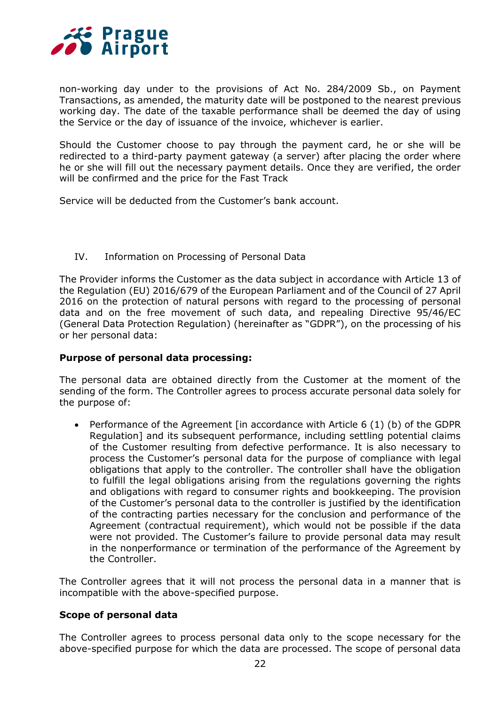

non-working day under to the provisions of Act No. 284/2009 Sb., on Payment Transactions, as amended, the maturity date will be postponed to the nearest previous working day. The date of the taxable performance shall be deemed the day of using the Service or the day of issuance of the invoice, whichever is earlier.

Should the Customer choose to pay through the payment card, he or she will be redirected to a third-party payment gateway (a server) after placing the order where he or she will fill out the necessary payment details. Once they are verified, the order will be confirmed and the price for the Fast Track

Service will be deducted from the Customer's bank account.

## IV. Information on Processing of Personal Data

The Provider informs the Customer as the data subject in accordance with Article 13 of the Regulation (EU) 2016/679 of the European Parliament and of the Council of 27 April 2016 on the protection of natural persons with regard to the processing of personal data and on the free movement of such data, and repealing Directive 95/46/EC (General Data Protection Regulation) (hereinafter as "GDPR"), on the processing of his or her personal data:

## **Purpose of personal data processing:**

The personal data are obtained directly from the Customer at the moment of the sending of the form. The Controller agrees to process accurate personal data solely for the purpose of:

 Performance of the Agreement [in accordance with Article 6 (1) (b) of the GDPR Regulation] and its subsequent performance, including settling potential claims of the Customer resulting from defective performance. It is also necessary to process the Customer's personal data for the purpose of compliance with legal obligations that apply to the controller. The controller shall have the obligation to fulfill the legal obligations arising from the regulations governing the rights and obligations with regard to consumer rights and bookkeeping. The provision of the Customer's personal data to the controller is justified by the identification of the contracting parties necessary for the conclusion and performance of the Agreement (contractual requirement), which would not be possible if the data were not provided. The Customer's failure to provide personal data may result in the nonperformance or termination of the performance of the Agreement by the Controller.

The Controller agrees that it will not process the personal data in a manner that is incompatible with the above-specified purpose.

## **Scope of personal data**

The Controller agrees to process personal data only to the scope necessary for the above-specified purpose for which the data are processed. The scope of personal data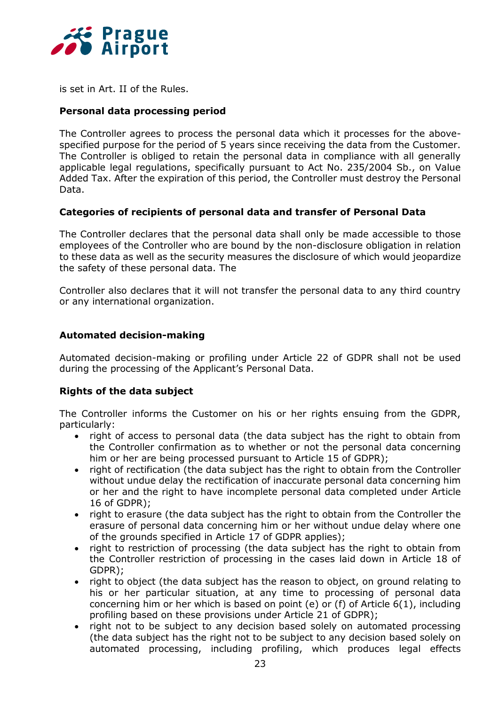

is set in Art. II of the Rules.

## **Personal data processing period**

The Controller agrees to process the personal data which it processes for the abovespecified purpose for the period of 5 years since receiving the data from the Customer. The Controller is obliged to retain the personal data in compliance with all generally applicable legal regulations, specifically pursuant to Act No. 235/2004 Sb., on Value Added Tax. After the expiration of this period, the Controller must destroy the Personal Data.

## **Categories of recipients of personal data and transfer of Personal Data**

The Controller declares that the personal data shall only be made accessible to those employees of the Controller who are bound by the non-disclosure obligation in relation to these data as well as the security measures the disclosure of which would jeopardize the safety of these personal data. The

Controller also declares that it will not transfer the personal data to any third country or any international organization.

## **Automated decision-making**

Automated decision-making or profiling under Article 22 of GDPR shall not be used during the processing of the Applicant's Personal Data.

## **Rights of the data subject**

The Controller informs the Customer on his or her rights ensuing from the GDPR, particularly:

- right of access to personal data (the data subject has the right to obtain from the Controller confirmation as to whether or not the personal data concerning him or her are being processed pursuant to Article 15 of GDPR);
- right of rectification (the data subject has the right to obtain from the Controller without undue delay the rectification of inaccurate personal data concerning him or her and the right to have incomplete personal data completed under Article 16 of GDPR);
- right to erasure (the data subject has the right to obtain from the Controller the erasure of personal data concerning him or her without undue delay where one of the grounds specified in Article 17 of GDPR applies);
- right to restriction of processing (the data subject has the right to obtain from the Controller restriction of processing in the cases laid down in Article 18 of GDPR);
- right to object (the data subject has the reason to object, on ground relating to his or her particular situation, at any time to processing of personal data concerning him or her which is based on point (e) or (f) of Article 6(1), including profiling based on these provisions under Article 21 of GDPR);
- right not to be subject to any decision based solely on automated processing (the data subject has the right not to be subject to any decision based solely on automated processing, including profiling, which produces legal effects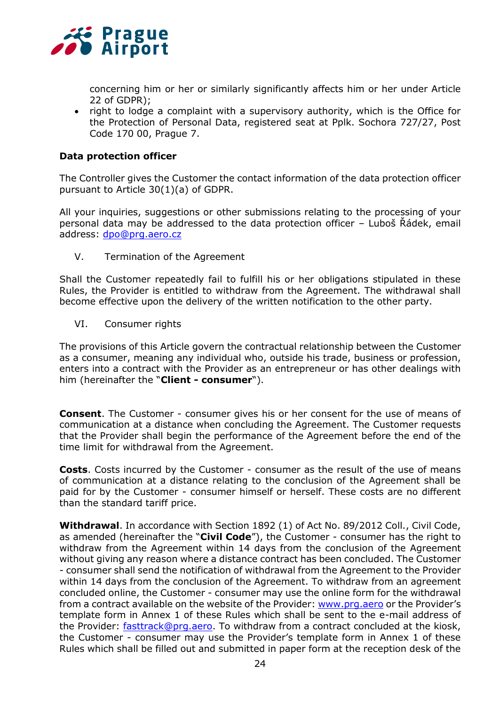

concerning him or her or similarly significantly affects him or her under Article 22 of GDPR);

• right to lodge a complaint with a supervisory authority, which is the Office for the Protection of Personal Data, registered seat at Pplk. Sochora 727/27, Post Code 170 00, Prague 7.

## **Data protection officer**

The Controller gives the Customer the contact information of the data protection officer pursuant to Article 30(1)(a) of GDPR.

All your inquiries, suggestions or other submissions relating to the processing of your personal data may be addressed to the data protection officer – Luboš Řádek, email address: [dpo@prg.aero.cz](mailto:dpo@prg.aero.cz)

V. Termination of the Agreement

Shall the Customer repeatedly fail to fulfill his or her obligations stipulated in these Rules, the Provider is entitled to withdraw from the Agreement. The withdrawal shall become effective upon the delivery of the written notification to the other party.

VI. Consumer rights

The provisions of this Article govern the contractual relationship between the Customer as a consumer, meaning any individual who, outside his trade, business or profession, enters into a contract with the Provider as an entrepreneur or has other dealings with him (hereinafter the "**Client - consumer**").

**Consent**. The Customer - consumer gives his or her consent for the use of means of communication at a distance when concluding the Agreement. The Customer requests that the Provider shall begin the performance of the Agreement before the end of the time limit for withdrawal from the Agreement.

**Costs**. Costs incurred by the Customer - consumer as the result of the use of means of communication at a distance relating to the conclusion of the Agreement shall be paid for by the Customer - consumer himself or herself. These costs are no different than the standard tariff price.

**Withdrawal**. In accordance with Section 1892 (1) of Act No. 89/2012 Coll., Civil Code, as amended (hereinafter the "**Civil Code**"), the Customer - consumer has the right to withdraw from the Agreement within 14 days from the conclusion of the Agreement without giving any reason where a distance contract has been concluded. The Customer - consumer shall send the notification of withdrawal from the Agreement to the Provider within 14 days from the conclusion of the Agreement. To withdraw from an agreement concluded online, the Customer - consumer may use the online form for the withdrawal from a contract available on the website of the Provider: [www.prg.aero](file:///C:/Users/konsela/Documents/www.prg.aero) or the Provider's template form in Annex 1 of these Rules which shall be sent to the e-mail address of the Provider: [fasttrack@prg.aero.](file:///C:/Users/konsela/Documents/fasttrack@prg.aero) To withdraw from a contract concluded at the kiosk, the Customer - consumer may use the Provider's template form in Annex 1 of these Rules which shall be filled out and submitted in paper form at the reception desk of the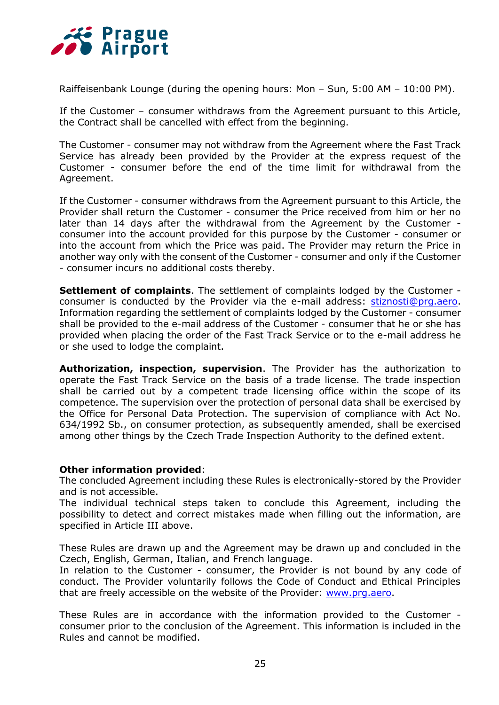

Raiffeisenbank Lounge (during the opening hours: Mon – Sun, 5:00 AM – 10:00 PM).

If the Customer – consumer withdraws from the Agreement pursuant to this Article, the Contract shall be cancelled with effect from the beginning.

The Customer - consumer may not withdraw from the Agreement where the Fast Track Service has already been provided by the Provider at the express request of the Customer - consumer before the end of the time limit for withdrawal from the Agreement.

If the Customer - consumer withdraws from the Agreement pursuant to this Article, the Provider shall return the Customer - consumer the Price received from him or her no later than 14 days after the withdrawal from the Agreement by the Customer consumer into the account provided for this purpose by the Customer - consumer or into the account from which the Price was paid. The Provider may return the Price in another way only with the consent of the Customer - consumer and only if the Customer - consumer incurs no additional costs thereby.

**Settlement of complaints**. The settlement of complaints lodged by the Customer consumer is conducted by the Provider via the e-mail address: [stiznosti@prg.aero.](file:///C:/Users/konsela/Documents/stiznosti@prg.aero) Information regarding the settlement of complaints lodged by the Customer - consumer shall be provided to the e-mail address of the Customer - consumer that he or she has provided when placing the order of the Fast Track Service or to the e-mail address he or she used to lodge the complaint.

**Authorization, inspection, supervision**. The Provider has the authorization to operate the Fast Track Service on the basis of a trade license. The trade inspection shall be carried out by a competent trade licensing office within the scope of its competence. The supervision over the protection of personal data shall be exercised by the Office for Personal Data Protection. The supervision of compliance with Act No. 634/1992 Sb., on consumer protection, as subsequently amended, shall be exercised among other things by the Czech Trade Inspection Authority to the defined extent.

## **Other information provided**:

The concluded Agreement including these Rules is electronically-stored by the Provider and is not accessible.

The individual technical steps taken to conclude this Agreement, including the possibility to detect and correct mistakes made when filling out the information, are specified in Article III above.

These Rules are drawn up and the Agreement may be drawn up and concluded in the Czech, English, German, Italian, and French language.

In relation to the Customer - consumer, the Provider is not bound by any code of conduct. The Provider voluntarily follows the Code of Conduct and Ethical Principles that are freely accessible on the website of the Provider: www.prq.aero.

These Rules are in accordance with the information provided to the Customer consumer prior to the conclusion of the Agreement. This information is included in the Rules and cannot be modified.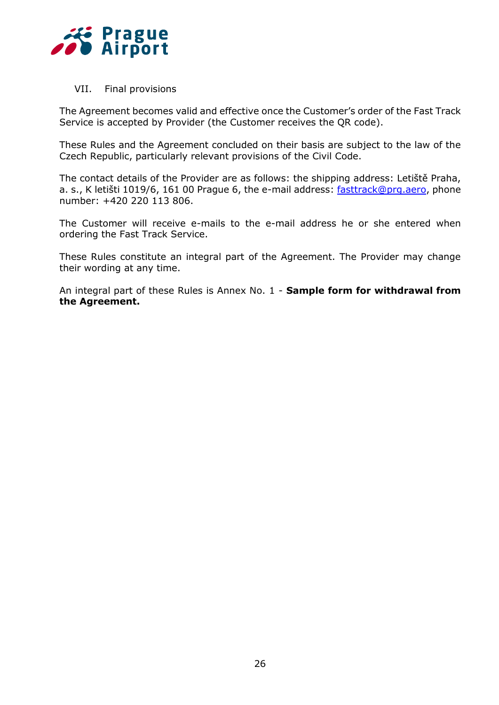

VII. Final provisions

The Agreement becomes valid and effective once the Customer's order of the Fast Track Service is accepted by Provider (the Customer receives the QR code).

These Rules and the Agreement concluded on their basis are subject to the law of the Czech Republic, particularly relevant provisions of the Civil Code.

The contact details of the Provider are as follows: the shipping address: Letiště Praha, a. s., K letišti 1019/6, 161 00 Prague 6, the e-mail address: [fasttrack@prg.aero,](mailto:fasttrack@prg.aero) phone number: +420 220 113 806.

The Customer will receive e-mails to the e-mail address he or she entered when ordering the Fast Track Service.

These Rules constitute an integral part of the Agreement. The Provider may change their wording at any time.

An integral part of these Rules is Annex No. 1 - **Sample form for withdrawal from the Agreement.**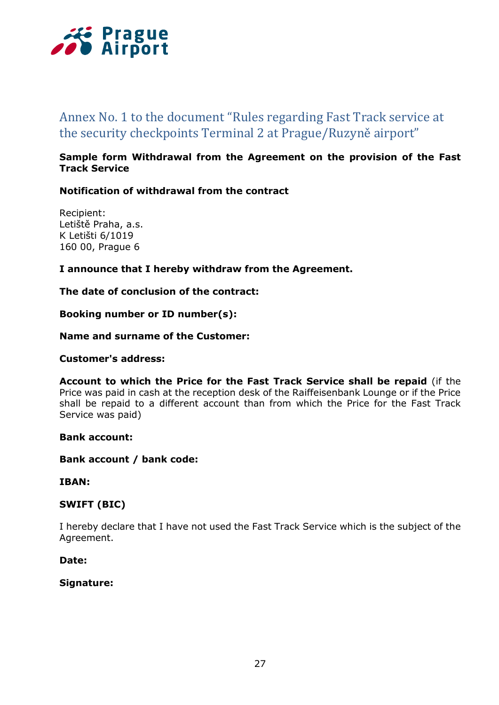

# Annex No. 1 to the document "Rules regarding Fast Track service at the security checkpoints Terminal 2 at Prague/Ruzyně airport"

## **Sample form Withdrawal from the Agreement on the provision of the Fast Track Service**

## **Notification of withdrawal from the contract**

Recipient: Letiště Praha, a.s. K Letišti 6/1019 160 00, Prague 6

## **I announce that I hereby withdraw from the Agreement.**

## **The date of conclusion of the contract:**

**Booking number or ID number(s):**

## **Name and surname of the Customer:**

## **Customer's address:**

**Account to which the Price for the Fast Track Service shall be repaid** (if the Price was paid in cash at the reception desk of the Raiffeisenbank Lounge or if the Price shall be repaid to a different account than from which the Price for the Fast Track Service was paid)

## **Bank account:**

**Bank account / bank code:**

#### **IBAN:**

## **SWIFT (BIC)**

I hereby declare that I have not used the Fast Track Service which is the subject of the Agreement.

## **Date:**

## **Signature:**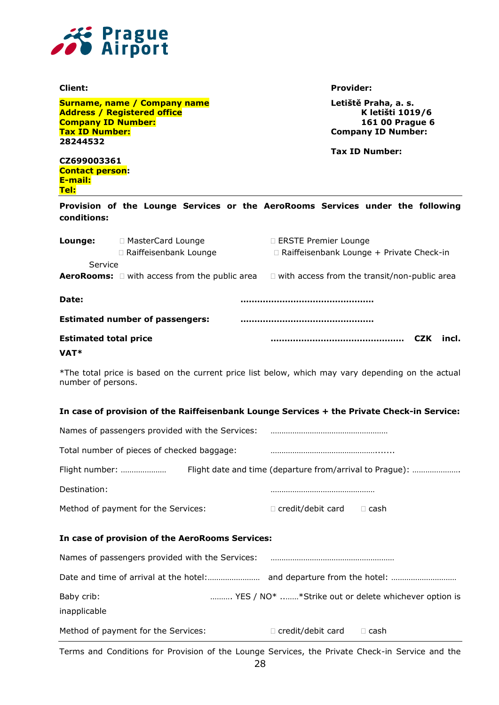

**Surname, name / Company name Letiště Praha, a. s. Address / Registered office K letišti 1019/6 Company ID Number: 161 00 Prague 6 Tax ID Number: Company ID Number: 28244532**

**Client: Provider:**

**Tax ID Number:** 

**CZ699003361 Contact person: E-mail: Tel:**

**Provision of the Lounge Services or the AeroRooms Services under the following conditions:**

| Lounge:                      | □ MasterCard Lounge                                       | □ ERSTE Premier Lounge                              |            |       |
|------------------------------|-----------------------------------------------------------|-----------------------------------------------------|------------|-------|
|                              | □ Raiffeisenbank Lounge                                   | □ Raiffeisenbank Lounge + Private Check-in          |            |       |
| Service                      |                                                           |                                                     |            |       |
|                              | <b>AeroRooms:</b> $\Box$ with access from the public area | $\Box$ with access from the transit/non-public area |            |       |
|                              |                                                           |                                                     |            |       |
| Date:                        |                                                           |                                                     |            |       |
|                              | <b>Estimated number of passengers:</b>                    |                                                     |            |       |
| <b>Estimated total price</b> |                                                           |                                                     | <b>CZK</b> | incl. |
| VAT*                         |                                                           |                                                     |            |       |

\*The total price is based on the current price list below, which may vary depending on the actual number of persons.

#### **In case of provision of the Raiffeisenbank Lounge Services + the Private Check-in Service:**

| Names of passengers provided with the Services: |                          |                                                          |
|-------------------------------------------------|--------------------------|----------------------------------------------------------|
| Total number of pieces of checked baggage:      |                          |                                                          |
| Flight number:                                  |                          | Flight date and time (departure from/arrival to Prague): |
| Destination:                                    |                          |                                                          |
| Method of payment for the Services:             | $\Box$ credit/debit card | ∃ cash.                                                  |

#### **In case of provision of the AeroRooms Services:**

| Names of passengers provided with the Services: |                          |                                                     |
|-------------------------------------------------|--------------------------|-----------------------------------------------------|
|                                                 |                          |                                                     |
| Baby crib:<br>inapplicable                      |                          | YES / NO* *Strike out or delete whichever option is |
| Method of payment for the Services:             | $\Box$ credit/debit card | $\Box$ cash                                         |

Terms and Conditions for Provision of the Lounge Services, the Private Check-in Service and the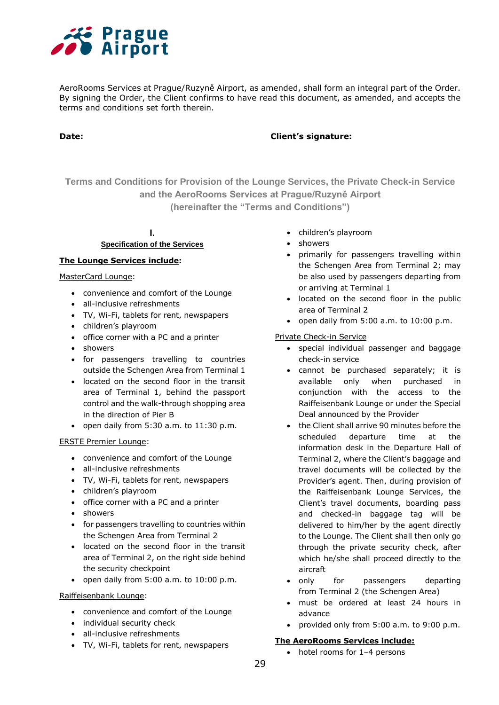

AeroRooms Services at Prague/Ruzyně Airport, as amended, shall form an integral part of the Order. By signing the Order, the Client confirms to have read this document, as amended, and accepts the terms and conditions set forth therein.

#### **Date: Client's signature:**

**Terms and Conditions for Provision of the Lounge Services, the Private Check-in Service and the AeroRooms Services at Prague/Ruzyně Airport (hereinafter the "Terms and Conditions")**

## **I. Specification of the Services**

#### **The Lounge Services include:**

MasterCard Lounge:

- convenience and comfort of the Lounge
- all-inclusive refreshments
- TV, Wi-Fi, tablets for rent, newspapers
- children's playroom
- office corner with a PC and a printer
- showers
- for passengers travelling to countries outside the Schengen Area from Terminal 1
- located on the second floor in the transit area of Terminal 1, behind the passport control and the walk-through shopping area in the direction of Pier B
- $\bullet$  open daily from 5:30 a.m. to 11:30 p.m.

#### ERSTE Premier Lounge:

- convenience and comfort of the Lounge
- all-inclusive refreshments
- TV, Wi-Fi, tablets for rent, newspapers
- children's playroom
- office corner with a PC and a printer
- showers
- for passengers travelling to countries within the Schengen Area from Terminal 2
- located on the second floor in the transit area of Terminal 2, on the right side behind the security checkpoint
- open daily from  $5:00$  a.m. to  $10:00$  p.m.

#### Raiffeisenbank Lounge:

- convenience and comfort of the Lounge
- individual security check
- all-inclusive refreshments
- TV, Wi-Fi, tablets for rent, newspapers
- children's playroom
- showers
- primarily for passengers travelling within the Schengen Area from Terminal 2; may be also used by passengers departing from or arriving at Terminal 1
- located on the second floor in the public area of Terminal 2
- $\bullet$  open daily from 5:00 a.m. to 10:00 p.m.

Private Check-in Service

- special individual passenger and baggage check-in service
- cannot be purchased separately; it is available only when purchased in conjunction with the access to the Raiffeisenbank Lounge or under the Special Deal announced by the Provider
- the Client shall arrive 90 minutes before the scheduled departure time at the information desk in the Departure Hall of Terminal 2, where the Client's baggage and travel documents will be collected by the Provider's agent. Then, during provision of the Raiffeisenbank Lounge Services, the Client's travel documents, boarding pass and checked-in baggage tag will be delivered to him/her by the agent directly to the Lounge. The Client shall then only go through the private security check, after which he/she shall proceed directly to the aircraft
- only for passengers departing from Terminal 2 (the Schengen Area)
- must be ordered at least 24 hours in advance
- provided only from 5:00 a.m. to 9:00 p.m.

#### **The AeroRooms Services include:**

• hotel rooms for 1-4 persons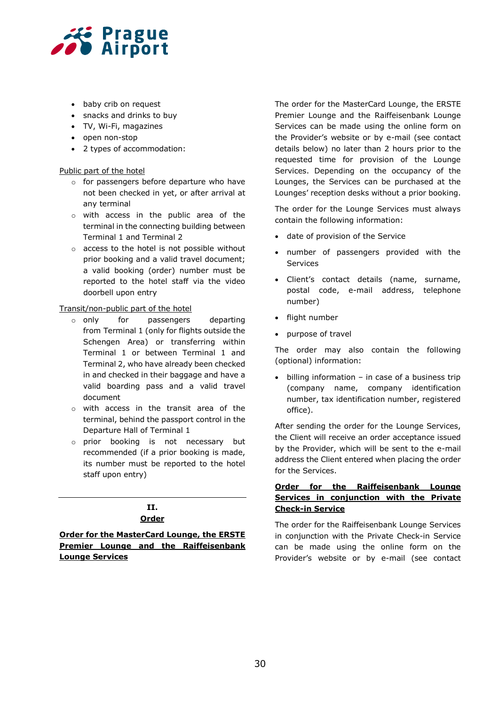

- baby crib on request
- snacks and drinks to buy
- TV, Wi-Fi, magazines
- open non-stop
- 2 types of accommodation:

#### Public part of the hotel

- o for passengers before departure who have not been checked in yet, or after arrival at any terminal
- o with access in the public area of the terminal in the connecting building between Terminal 1 and Terminal 2
- o access to the hotel is not possible without prior booking and a valid travel document; a valid booking (order) number must be reported to the hotel staff via the video doorbell upon entry

#### Transit/non-public part of the hotel

- o only for passengers departing from Terminal 1 (only for flights outside the Schengen Area) or transferring within Terminal 1 or between Terminal 1 and Terminal 2, who have already been checked in and checked in their baggage and have a valid boarding pass and a valid travel document
- o with access in the transit area of the terminal, behind the passport control in the Departure Hall of Terminal 1
- o prior booking is not necessary but recommended (if a prior booking is made, its number must be reported to the hotel staff upon entry)

## **II. Order**

**Order for the MasterCard Lounge, the ERSTE Premier Lounge and the Raiffeisenbank Lounge Services**

The order for the MasterCard Lounge, the ERSTE Premier Lounge and the Raiffeisenbank Lounge Services can be made using the online form on the Provider's website or by e-mail (see contact details below) no later than 2 hours prior to the requested time for provision of the Lounge Services. Depending on the occupancy of the Lounges, the Services can be purchased at the Lounges' reception desks without a prior booking.

The order for the Lounge Services must always contain the following information:

- date of provision of the Service
- number of passengers provided with the Services
- Client's contact details (name, surname, postal code, e-mail address, telephone number)
- flight number
- purpose of travel

The order may also contain the following (optional) information:

 $\bullet$  billing information – in case of a business trip (company name, company identification number, tax identification number, registered office).

After sending the order for the Lounge Services, the Client will receive an order acceptance issued by the Provider, which will be sent to the e-mail address the Client entered when placing the order for the Services.

#### **Order for the Raiffeisenbank Lounge Services in conjunction with the Private Check-in Service**

The order for the Raiffeisenbank Lounge Services in conjunction with the Private Check-in Service can be made using the online form on the Provider's website or by e-mail (see contact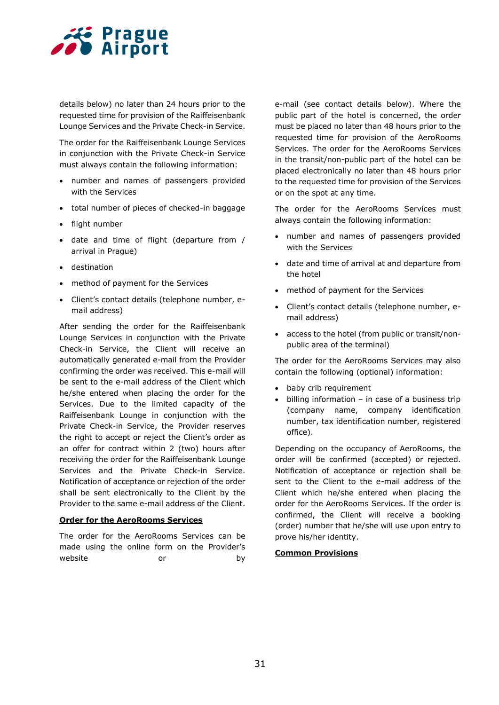

details below) no later than 24 hours prior to the requested time for provision of the Raiffeisenbank Lounge Services and the Private Check-in Service.

The order for the Raiffeisenbank Lounge Services in conjunction with the Private Check-in Service must always contain the following information:

- number and names of passengers provided with the Services
- total number of pieces of checked-in baggage
- flight number
- date and time of flight (departure from / arrival in Prague)
- destination
- method of payment for the Services
- Client's contact details (telephone number, email address)

After sending the order for the Raiffeisenbank Lounge Services in conjunction with the Private Check-in Service, the Client will receive an automatically generated e-mail from the Provider confirming the order was received. This e-mail will be sent to the e-mail address of the Client which he/she entered when placing the order for the Services. Due to the limited capacity of the Raiffeisenbank Lounge in conjunction with the Private Check-in Service, the Provider reserves the right to accept or reject the Client's order as an offer for contract within 2 (two) hours after receiving the order for the Raiffeisenbank Lounge Services and the Private Check-in Service. Notification of acceptance or rejection of the order shall be sent electronically to the Client by the Provider to the same e-mail address of the Client.

#### **Order for the AeroRooms Services**

The order for the AeroRooms Services can be made using the online form on the Provider's website or by e-mail (see contact details below). Where the public part of the hotel is concerned, the order must be placed no later than 48 hours prior to the requested time for provision of the AeroRooms Services. The order for the AeroRooms Services in the transit/non-public part of the hotel can be placed electronically no later than 48 hours prior to the requested time for provision of the Services or on the spot at any time.

The order for the AeroRooms Services must always contain the following information:

- number and names of passengers provided with the Services
- date and time of arrival at and departure from the hotel
- method of payment for the Services
- Client's contact details (telephone number, email address)
- access to the hotel (from public or transit/nonpublic area of the terminal)

The order for the AeroRooms Services may also contain the following (optional) information:

- baby crib requirement
- $\bullet$  billing information in case of a business trip (company name, company identification number, tax identification number, registered office).

Depending on the occupancy of AeroRooms, the order will be confirmed (accepted) or rejected. Notification of acceptance or rejection shall be sent to the Client to the e-mail address of the Client which he/she entered when placing the order for the AeroRooms Services. If the order is confirmed, the Client will receive a booking (order) number that he/she will use upon entry to prove his/her identity.

#### **Common Provisions**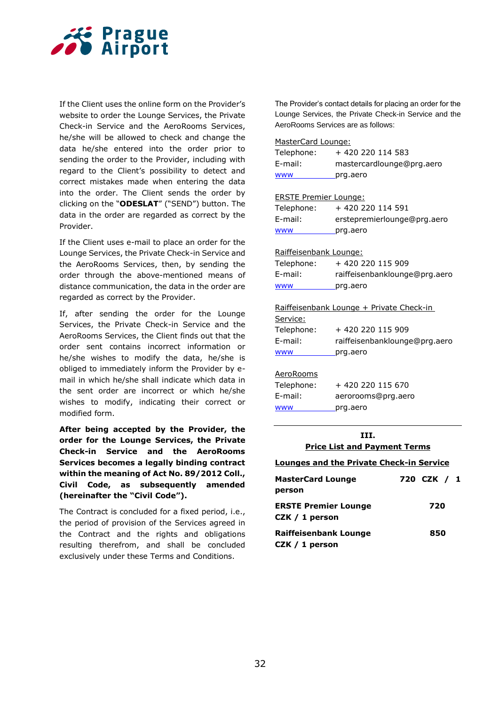

If the Client uses the online form on the Provider's website to order the Lounge Services, the Private Check-in Service and the AeroRooms Services, he/she will be allowed to check and change the data he/she entered into the order prior to sending the order to the Provider, including with regard to the Client's possibility to detect and correct mistakes made when entering the data into the order. The Client sends the order by clicking on the "**ODESLAT**" ("SEND") button. The data in the order are regarded as correct by the Provider.

If the Client uses e-mail to place an order for the Lounge Services, the Private Check-in Service and the AeroRooms Services, then, by sending the order through the above-mentioned means of distance communication, the data in the order are regarded as correct by the Provider.

If, after sending the order for the Lounge Services, the Private Check-in Service and the AeroRooms Services, the Client finds out that the order sent contains incorrect information or he/she wishes to modify the data, he/she is obliged to immediately inform the Provider by email in which he/she shall indicate which data in the sent order are incorrect or which he/she wishes to modify, indicating their correct or modified form.

**After being accepted by the Provider, the order for the Lounge Services, the Private Check-in Service and the AeroRooms Services becomes a legally binding contract within the meaning of Act No. 89/2012 Coll., Civil Code, as subsequently amended (hereinafter the "Civil Code").**

The Contract is concluded for a fixed period, i.e., the period of provision of the Services agreed in the Contract and the rights and obligations resulting therefrom, and shall be concluded exclusively under these Terms and Conditions.

The Provider's contact details for placing an order for the Lounge Services, the Private Check-in Service and the AeroRooms Services are as follows:

#### MasterCard Lounge:

| ---                          |                                          |  |
|------------------------------|------------------------------------------|--|
|                              |                                          |  |
| <b>WWW</b>                   | prg.aero                                 |  |
| E-mail:                      | aerorooms@prg.aero                       |  |
| Telephone:                   | +420 220 115 670                         |  |
| AeroRooms                    |                                          |  |
| <b>WWW</b>                   | prg.aero                                 |  |
| E-mail:                      | raiffeisenbanklounge@prg.aero            |  |
| Telephone:                   | +420 220 115 909                         |  |
| <u>Service:</u>              |                                          |  |
|                              | Raiffeisenbank Lounge + Private Check-in |  |
| www                          | prg.aero                                 |  |
| E-mail:                      | raiffeisenbanklounge@prg.aero            |  |
| Telephone:                   | +420 220 115 909                         |  |
| Raiffeisenbank Lounge:       |                                          |  |
| <b>WWW</b>                   | prg.aero                                 |  |
| E-mail:                      | erstepremierlounge@prg.aero              |  |
| Telephone:                   | + 420 220 114 591                        |  |
| <b>ERSTE Premier Lounge:</b> |                                          |  |
|                              |                                          |  |
| <b>WWW</b>                   | prg.aero                                 |  |
| E-mail:                      | mastercardlounge@prg.aero                |  |
| Telephone:                   | + 420 220 114 583                        |  |
| MasterCard Lounge:           |                                          |  |

#### **III. Price List and Payment Terms**

#### **Lounges and the Private Check-in Service**

| <b>MasterCard Lounge</b><br>person            | 720 CZK / 1 |
|-----------------------------------------------|-------------|
| <b>ERSTE Premier Lounge</b><br>CZK / 1 person | 720         |
| Raiffeisenbank Lounge<br>CZK $/ 1$ person     | 850         |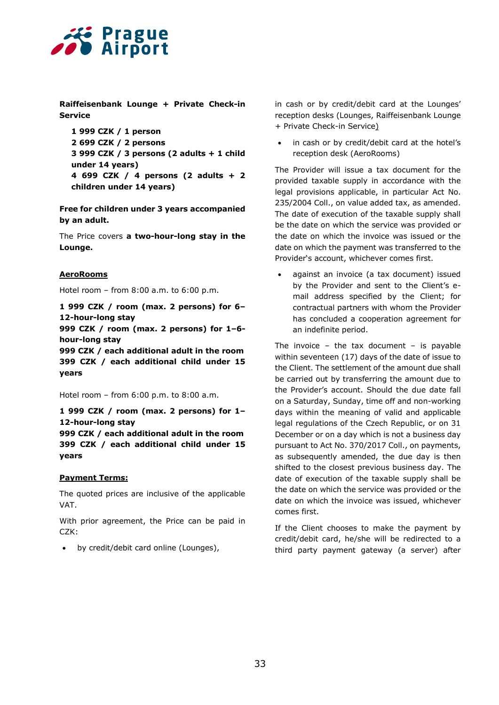

**Raiffeisenbank Lounge + Private Check-in Service**

```
1 999 CZK / 1 person 
2 699 CZK / 2 persons
3 999 CZK / 3 persons (2 adults + 1 child 
under 14 years) 
4 699 CZK / 4 persons (2 adults + 2 
children under 14 years)
```
**Free for children under 3 years accompanied by an adult.**

The Price covers **a two-hour-long stay in the Lounge.**

#### **AeroRooms**

Hotel room – from 8:00 a.m. to 6:00 p.m.

**1 999 CZK / room (max. 2 persons) for 6– 12-hour-long stay**

**999 CZK / room (max. 2 persons) for 1–6 hour-long stay**

**999 CZK / each additional adult in the room 399 CZK / each additional child under 15 years**

Hotel room – from 6:00 p.m. to 8:00 a.m.

**1 999 CZK / room (max. 2 persons) for 1– 12-hour-long stay**

**999 CZK / each additional adult in the room 399 CZK / each additional child under 15 years**

#### **Payment Terms:**

The quoted prices are inclusive of the applicable VAT.

With prior agreement, the Price can be paid in CZK:

by credit/debit card online (Lounges),

in cash or by credit/debit card at the Lounges' reception desks (Lounges, Raiffeisenbank Lounge + Private Check-in Service)

 in cash or by credit/debit card at the hotel's reception desk (AeroRooms)

The Provider will issue a tax document for the provided taxable supply in accordance with the legal provisions applicable, in particular Act No. 235/2004 Coll., on value added tax, as amended. The date of execution of the taxable supply shall be the date on which the service was provided or the date on which the invoice was issued or the date on which the payment was transferred to the Provider's account, whichever comes first.

 against an invoice (a tax document) issued by the Provider and sent to the Client's email address specified by the Client; for contractual partners with whom the Provider has concluded a cooperation agreement for an indefinite period.

The invoice – the tax document – is payable within seventeen (17) days of the date of issue to the Client. The settlement of the amount due shall be carried out by transferring the amount due to the Provider's account. Should the due date fall on a Saturday, Sunday, time off and non-working days within the meaning of valid and applicable legal regulations of the Czech Republic, or on 31 December or on a day which is not a business day pursuant to Act No. 370/2017 Coll., on payments, as subsequently amended, the due day is then shifted to the closest previous business day. The date of execution of the taxable supply shall be the date on which the service was provided or the date on which the invoice was issued, whichever comes first.

If the Client chooses to make the payment by credit/debit card, he/she will be redirected to a third party payment gateway (a server) after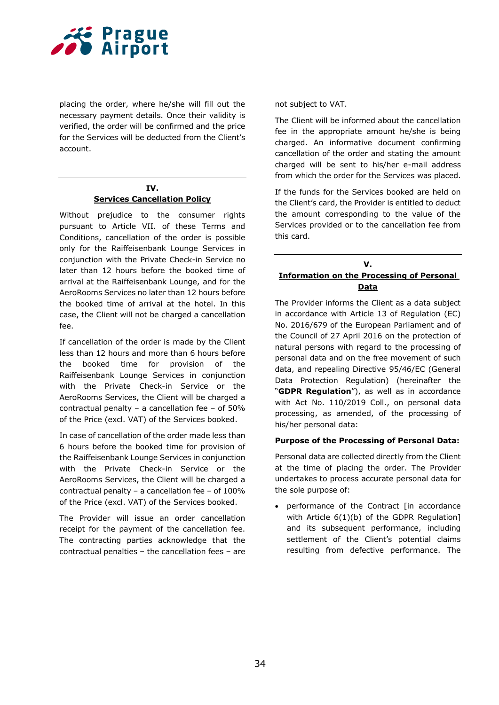

placing the order, where he/she will fill out the necessary payment details. Once their validity is verified, the order will be confirmed and the price for the Services will be deducted from the Client's account.

#### **IV. Services Cancellation Policy**

Without prejudice to the consumer rights pursuant to Article VII. of these Terms and Conditions, cancellation of the order is possible only for the Raiffeisenbank Lounge Services in conjunction with the Private Check-in Service no later than 12 hours before the booked time of arrival at the Raiffeisenbank Lounge, and for the AeroRooms Services no later than 12 hours before the booked time of arrival at the hotel. In this case, the Client will not be charged a cancellation fee.

If cancellation of the order is made by the Client less than 12 hours and more than 6 hours before the booked time for provision of the Raiffeisenbank Lounge Services in conjunction with the Private Check-in Service or the AeroRooms Services, the Client will be charged a contractual penalty – a cancellation fee – of 50% of the Price (excl. VAT) of the Services booked.

In case of cancellation of the order made less than 6 hours before the booked time for provision of the Raiffeisenbank Lounge Services in conjunction with the Private Check-in Service or the AeroRooms Services, the Client will be charged a contractual penalty – a cancellation fee – of 100% of the Price (excl. VAT) of the Services booked.

The Provider will issue an order cancellation receipt for the payment of the cancellation fee. The contracting parties acknowledge that the contractual penalties – the cancellation fees – are

not subject to VAT.

The Client will be informed about the cancellation fee in the appropriate amount he/she is being charged. An informative document confirming cancellation of the order and stating the amount charged will be sent to his/her e-mail address from which the order for the Services was placed.

If the funds for the Services booked are held on the Client's card, the Provider is entitled to deduct the amount corresponding to the value of the Services provided or to the cancellation fee from this card.

#### **V. Information on the Processing of Personal Data**

The Provider informs the Client as a data subject in accordance with Article 13 of Regulation (EC) No. 2016/679 of the European Parliament and of the Council of 27 April 2016 on the protection of natural persons with regard to the processing of personal data and on the free movement of such data, and repealing Directive 95/46/EC (General Data Protection Regulation) (hereinafter the "**GDPR Regulation**"), as well as in accordance with Act No. 110/2019 Coll., on personal data processing, as amended, of the processing of his/her personal data:

#### **Purpose of the Processing of Personal Data:**

Personal data are collected directly from the Client at the time of placing the order. The Provider undertakes to process accurate personal data for the sole purpose of:

 performance of the Contract [in accordance with Article 6(1)(b) of the GDPR Regulation] and its subsequent performance, including settlement of the Client's potential claims resulting from defective performance. The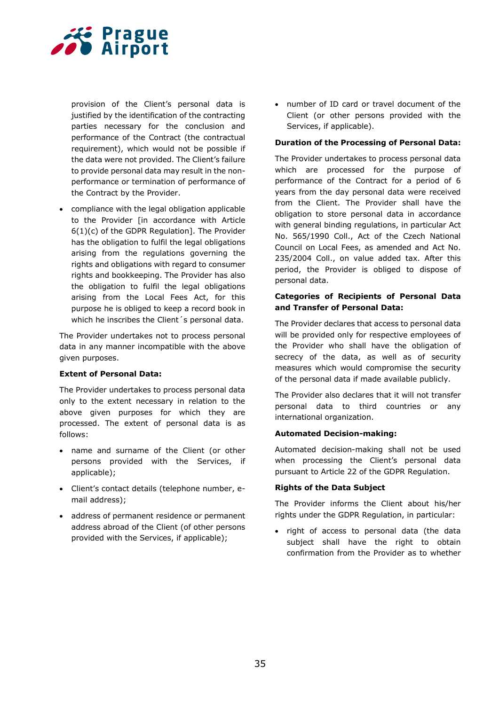

provision of the Client's personal data is justified by the identification of the contracting parties necessary for the conclusion and performance of the Contract (the contractual requirement), which would not be possible if the data were not provided. The Client's failure to provide personal data may result in the nonperformance or termination of performance of the Contract by the Provider.

 compliance with the legal obligation applicable to the Provider [in accordance with Article 6(1)(c) of the GDPR Regulation]. The Provider has the obligation to fulfil the legal obligations arising from the regulations governing the rights and obligations with regard to consumer rights and bookkeeping. The Provider has also the obligation to fulfil the legal obligations arising from the Local Fees Act, for this purpose he is obliged to keep a record book in which he inscribes the Client's personal data.

The Provider undertakes not to process personal data in any manner incompatible with the above given purposes.

#### **Extent of Personal Data:**

The Provider undertakes to process personal data only to the extent necessary in relation to the above given purposes for which they are processed. The extent of personal data is as follows:

- name and surname of the Client (or other persons provided with the Services, if applicable);
- Client's contact details (telephone number, email address);
- address of permanent residence or permanent address abroad of the Client (of other persons provided with the Services, if applicable);

 number of ID card or travel document of the Client (or other persons provided with the Services, if applicable).

#### **Duration of the Processing of Personal Data:**

The Provider undertakes to process personal data which are processed for the purpose of performance of the Contract for a period of 6 years from the day personal data were received from the Client. The Provider shall have the obligation to store personal data in accordance with general binding regulations, in particular Act No. 565/1990 Coll., Act of the Czech National Council on Local Fees, as amended and Act No. 235/2004 Coll., on value added tax. After this period, the Provider is obliged to dispose of personal data.

#### **Categories of Recipients of Personal Data and Transfer of Personal Data:**

The Provider declares that access to personal data will be provided only for respective employees of the Provider who shall have the obligation of secrecy of the data, as well as of security measures which would compromise the security of the personal data if made available publicly.

The Provider also declares that it will not transfer personal data to third countries or any international organization.

#### **Automated Decision-making:**

Automated decision-making shall not be used when processing the Client's personal data pursuant to Article 22 of the GDPR Regulation.

#### **Rights of the Data Subject**

The Provider informs the Client about his/her rights under the GDPR Regulation, in particular:

• right of access to personal data (the data subject shall have the right to obtain confirmation from the Provider as to whether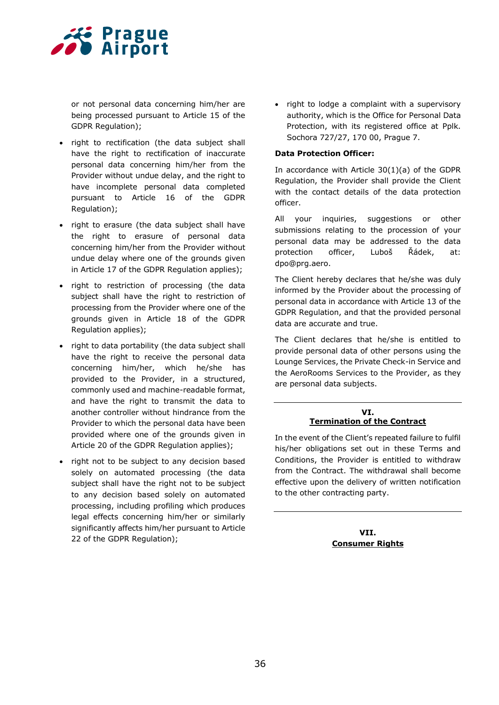

or not personal data concerning him/her are being processed pursuant to Article 15 of the GDPR Regulation);

- right to rectification (the data subject shall have the right to rectification of inaccurate personal data concerning him/her from the Provider without undue delay, and the right to have incomplete personal data completed pursuant to Article 16 of the GDPR Regulation);
- right to erasure (the data subject shall have the right to erasure of personal data concerning him/her from the Provider without undue delay where one of the grounds given in Article 17 of the GDPR Regulation applies);
- right to restriction of processing (the data subject shall have the right to restriction of processing from the Provider where one of the grounds given in Article 18 of the GDPR Regulation applies);
- right to data portability (the data subject shall have the right to receive the personal data concerning him/her, which he/she has provided to the Provider, in a structured, commonly used and machine-readable format, and have the right to transmit the data to another controller without hindrance from the Provider to which the personal data have been provided where one of the grounds given in Article 20 of the GDPR Regulation applies);
- right not to be subject to any decision based solely on automated processing (the data subject shall have the right not to be subject to any decision based solely on automated processing, including profiling which produces legal effects concerning him/her or similarly significantly affects him/her pursuant to Article 22 of the GDPR Regulation);

• right to lodge a complaint with a supervisory authority, which is the Office for Personal Data Protection, with its registered office at Pplk. Sochora 727/27, 170 00, Prague 7.

#### **Data Protection Officer:**

In accordance with Article 30(1)(a) of the GDPR Regulation, the Provider shall provide the Client with the contact details of the data protection officer.

All your inquiries, suggestions or other submissions relating to the procession of your personal data may be addressed to the data protection officer, Luboš Řádek, at: dpo@prg.aero.

The Client hereby declares that he/she was duly informed by the Provider about the processing of personal data in accordance with Article 13 of the GDPR Regulation, and that the provided personal data are accurate and true.

The Client declares that he/she is entitled to provide personal data of other persons using the Lounge Services, the Private Check-in Service and the AeroRooms Services to the Provider, as they are personal data subjects.

#### **VI. Termination of the Contract**

In the event of the Client's repeated failure to fulfil his/her obligations set out in these Terms and Conditions, the Provider is entitled to withdraw from the Contract. The withdrawal shall become effective upon the delivery of written notification to the other contracting party.

> **VII. Consumer Rights**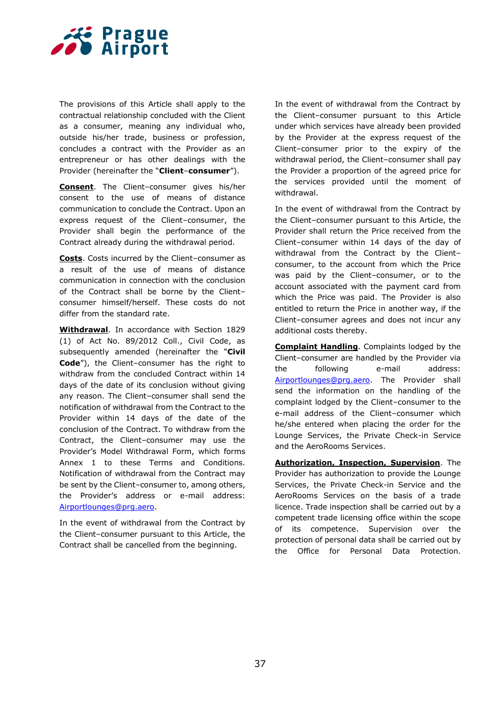

The provisions of this Article shall apply to the contractual relationship concluded with the Client as a consumer, meaning any individual who, outside his/her trade, business or profession, concludes a contract with the Provider as an entrepreneur or has other dealings with the Provider (hereinafter the "**Client**–**consumer**").

**Consent**. The Client–consumer gives his/her consent to the use of means of distance communication to conclude the Contract. Upon an express request of the Client–consumer, the Provider shall begin the performance of the Contract already during the withdrawal period.

**Costs**. Costs incurred by the Client–consumer as a result of the use of means of distance communication in connection with the conclusion of the Contract shall be borne by the Client– consumer himself/herself. These costs do not differ from the standard rate.

**Withdrawal**. In accordance with Section 1829 (1) of Act No. 89/2012 Coll., Civil Code, as subsequently amended (hereinafter the "**Civil Code**"), the Client–consumer has the right to withdraw from the concluded Contract within 14 days of the date of its conclusion without giving any reason. The Client–consumer shall send the notification of withdrawal from the Contract to the Provider within 14 days of the date of the conclusion of the Contract. To withdraw from the Contract, the Client–consumer may use the Provider's Model Withdrawal Form, which forms Annex 1 to these Terms and Conditions. Notification of withdrawal from the Contract may be sent by the Client–consumer to, among others, the Provider's address or e-mail address: [Airportlounges@prg.aero.](mailto:Airportlounges@prg.aero)

In the event of withdrawal from the Contract by the Client–consumer pursuant to this Article, the Contract shall be cancelled from the beginning.

In the event of withdrawal from the Contract by the Client–consumer pursuant to this Article under which services have already been provided by the Provider at the express request of the Client–consumer prior to the expiry of the withdrawal period, the Client–consumer shall pay the Provider a proportion of the agreed price for the services provided until the moment of withdrawal.

In the event of withdrawal from the Contract by the Client–consumer pursuant to this Article, the Provider shall return the Price received from the Client–consumer within 14 days of the day of withdrawal from the Contract by the Client– consumer, to the account from which the Price was paid by the Client–consumer, or to the account associated with the payment card from which the Price was paid. The Provider is also entitled to return the Price in another way, if the Client–consumer agrees and does not incur any additional costs thereby.

**Complaint Handling**. Complaints lodged by the Client–consumer are handled by the Provider via the following e-mail address: [Airportlounges@prg.aero.](mailto:Airportlounges@prg.aero) The Provider shall send the information on the handling of the complaint lodged by the Client–consumer to the e-mail address of the Client–consumer which he/she entered when placing the order for the Lounge Services, the Private Check-in Service and the AeroRooms Services.

**Authorization, Inspection, Supervision**. The Provider has authorization to provide the Lounge Services, the Private Check-in Service and the AeroRooms Services on the basis of a trade licence. Trade inspection shall be carried out by a competent trade licensing office within the scope of its competence. Supervision over the protection of personal data shall be carried out by the Office for Personal Data Protection.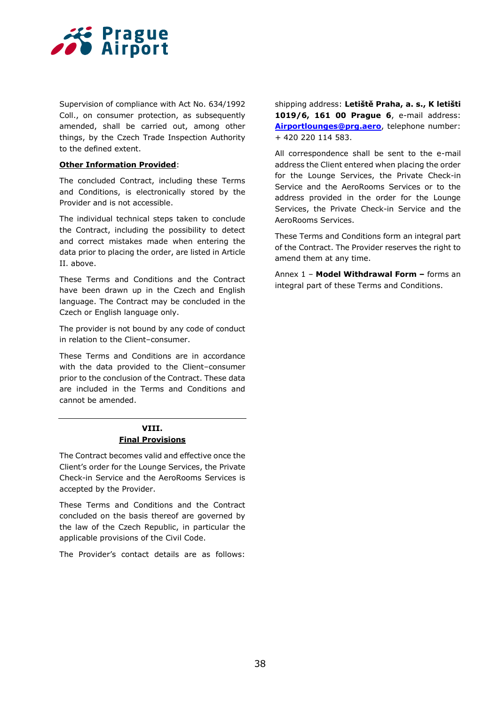

Supervision of compliance with Act No. 634/1992 Coll., on consumer protection, as subsequently amended, shall be carried out, among other things, by the Czech Trade Inspection Authority to the defined extent.

#### **Other Information Provided**:

The concluded Contract, including these Terms and Conditions, is electronically stored by the Provider and is not accessible.

The individual technical steps taken to conclude the Contract, including the possibility to detect and correct mistakes made when entering the data prior to placing the order, are listed in Article II. above.

These Terms and Conditions and the Contract have been drawn up in the Czech and English language. The Contract may be concluded in the Czech or English language only.

The provider is not bound by any code of conduct in relation to the Client–consumer.

These Terms and Conditions are in accordance with the data provided to the Client–consumer prior to the conclusion of the Contract. These data are included in the Terms and Conditions and cannot be amended.

### **VIII. Final Provisions**

The Contract becomes valid and effective once the Client's order for the Lounge Services, the Private Check-in Service and the AeroRooms Services is accepted by the Provider.

These Terms and Conditions and the Contract concluded on the basis thereof are governed by the law of the Czech Republic, in particular the applicable provisions of the Civil Code.

The Provider's contact details are as follows:

shipping address: **Letiště Praha, a. s., K letišti 1019/6, 161 00 Prague 6**, e-mail address: **[Airportlounges@prg.aero](mailto:Airportlounges@prg.aero)**, telephone number: + 420 220 114 583.

All correspondence shall be sent to the e-mail address the Client entered when placing the order for the Lounge Services, the Private Check-in Service and the AeroRooms Services or to the address provided in the order for the Lounge Services, the Private Check-in Service and the AeroRooms Services.

These Terms and Conditions form an integral part of the Contract. The Provider reserves the right to amend them at any time.

Annex 1 – **Model Withdrawal Form –** forms an integral part of these Terms and Conditions.